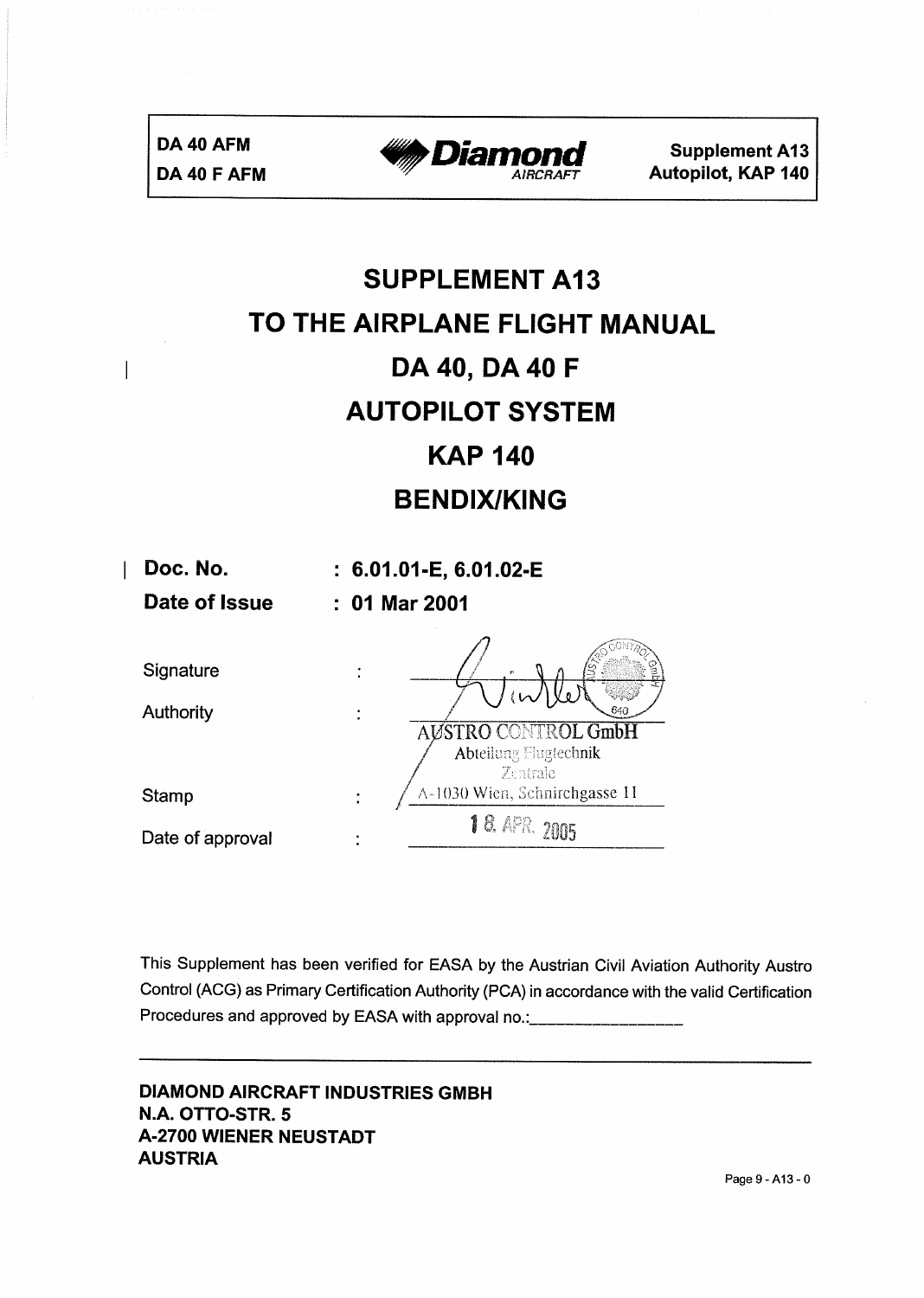DA 40 AFM DA 40 F AFM

 $\mathbf{I}$ 



**Supplement A13** Autopilot, KAP 140

# **SUPPLEMENT A13** TO THE AIRPLANE FLIGHT MANUAL DA 40, DA 40 F **AUTOPILOT SYSTEM KAP 140 BENDIX/KING**

| Doc. No.         |               | $: 6.01.01-E, 6.01.02-E$                 |  |
|------------------|---------------|------------------------------------------|--|
| Date of Issue    | : 01 Mar 2001 |                                          |  |
|                  |               |                                          |  |
| Signature        |               |                                          |  |
| Authority        |               | 641                                      |  |
|                  |               | <b>AUSTRO CONTROL GmbH</b>               |  |
|                  |               | Abteilung Flugtechnik<br><i>Tentrale</i> |  |
| Stamp            |               | A-1030 Wien, Schnirchgasse 11            |  |
| Date of approval |               | 18. APR. 2005                            |  |

This Supplement has been verified for EASA by the Austrian Civil Aviation Authority Austro Control (ACG) as Primary Certification Authority (PCA) in accordance with the valid Certification Procedures and approved by EASA with approval no.:

**DIAMOND AIRCRAFT INDUSTRIES GMBH** N.A. OTTO-STR. 5 **A-2700 WIENER NEUSTADT AUSTRIA**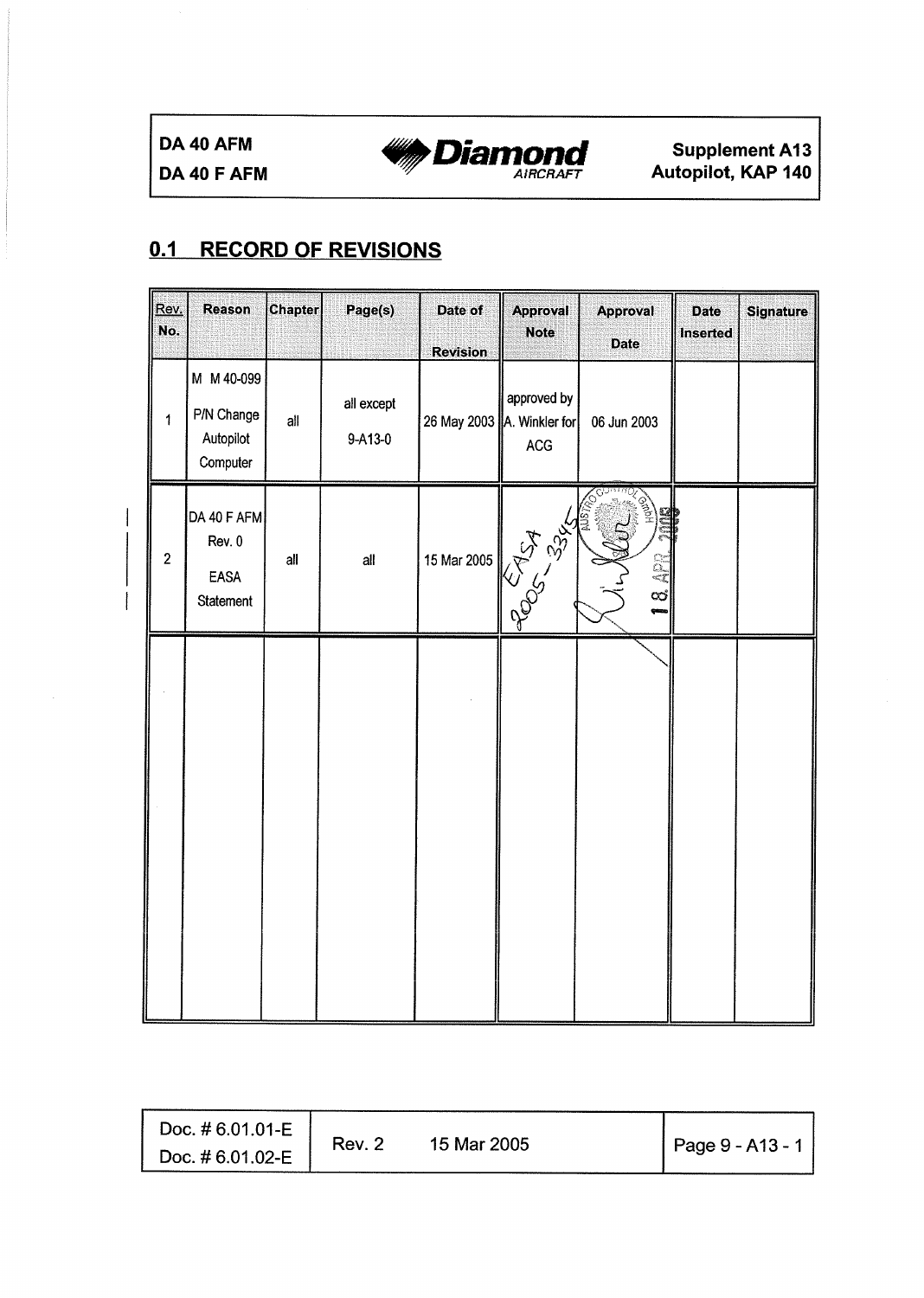DA 40 AFM DA 40 F AFM



**Supplement A13**<br>Autopilot, KAP 140

# 0.1 RECORD OF REVISIONS

| Rev.<br>No.      | Reason                                            | <b>Chapter</b> | Page(s)               | Date of<br><b>Revision</b>  | <b>Approval</b><br><b>Note</b> | <b>Approval</b><br><b>Date</b> | Date<br>Inserted | <b>Signature</b> |
|------------------|---------------------------------------------------|----------------|-----------------------|-----------------------------|--------------------------------|--------------------------------|------------------|------------------|
| 1                | M M 40-099<br>P/N Change<br>Autopilot<br>Computer | all            | all except<br>9-A13-0 | 26 May 2003  A. Winkler for | approved by<br>ACG             | 06 Jun 2003                    |                  |                  |
| $\boldsymbol{2}$ | DA 40 F AFM<br>Rev. 0<br>EASA<br>Statement        | all            | all                   | 15 Mar 2005                 | POS SISKS                      | a<br>G<br>E<br>I               |                  |                  |
|                  |                                                   |                |                       |                             |                                |                                |                  |                  |

| Doc. $\# 6.01.01 - E$ |        |             |                  |
|-----------------------|--------|-------------|------------------|
| Doc. $\#$ 6.01.02-E   | Rev. 2 | 15 Mar 2005 | Page 9 - A13 - 1 |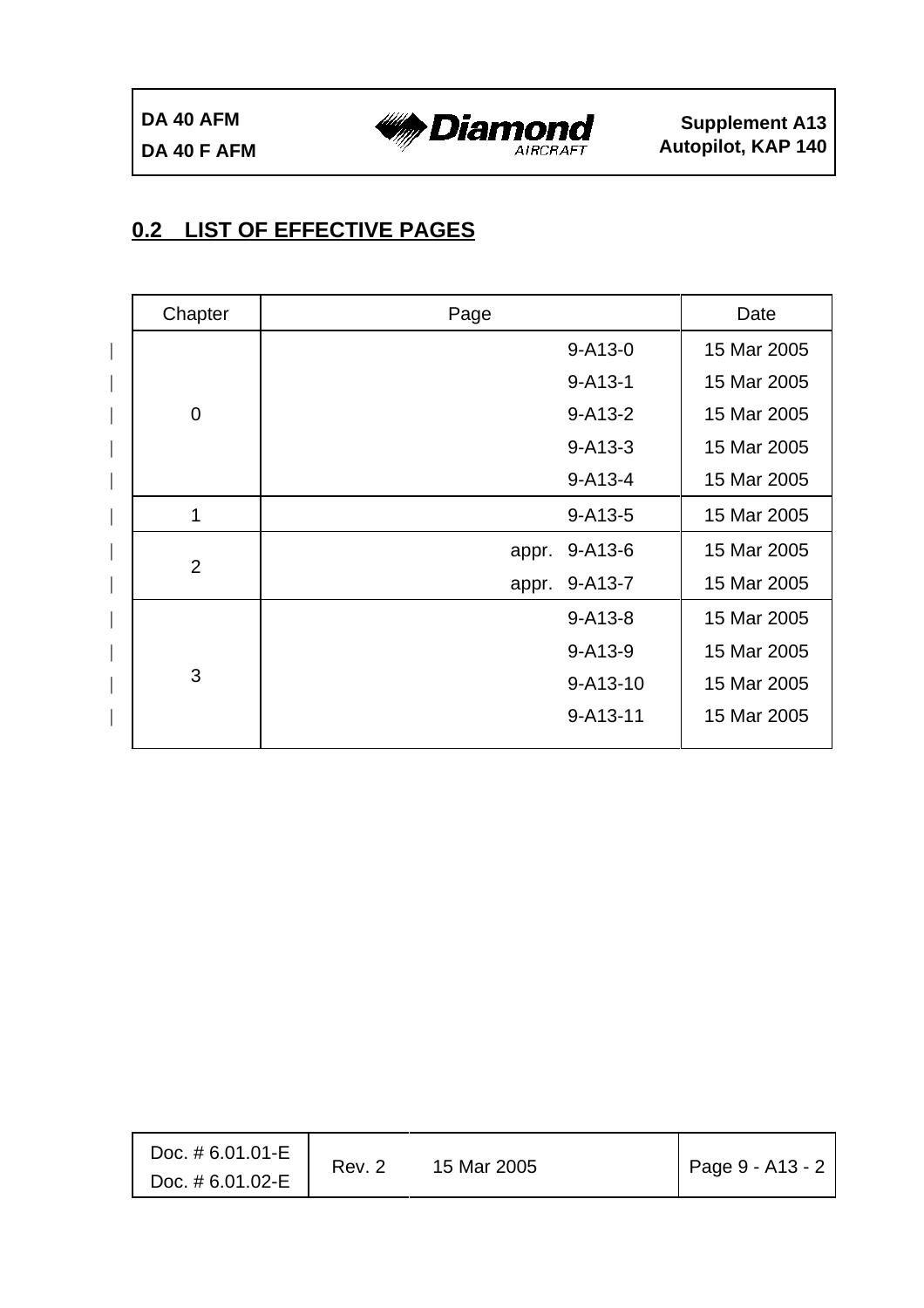

# **0.2 LIST OF EFFECTIVE PAGES**

| Chapter     | Page                   | Date        |
|-------------|------------------------|-------------|
|             | 9-A13-0                | 15 Mar 2005 |
|             | $9 - A13 - 1$          | 15 Mar 2005 |
| $\mathbf 0$ | $9 - A13 - 2$          | 15 Mar 2005 |
|             | $9 - A13 - 3$          | 15 Mar 2005 |
|             | $9 - A13 - 4$          | 15 Mar 2005 |
| 1           | $9 - A13 - 5$          | 15 Mar 2005 |
|             | $9 - A13 - 6$<br>appr. | 15 Mar 2005 |
|             | $9 - A13 - 7$<br>appr. | 15 Mar 2005 |
|             | $9 - A13 - 8$          | 15 Mar 2005 |
| 3           | 9-A13-9                | 15 Mar 2005 |
|             |                        | 15 Mar 2005 |
|             | 9-A13-11               | 15 Mar 2005 |
|             | $\overline{2}$         | 9-A13-10    |

| Doc. # 6.01.01-E |        |             |                    |
|------------------|--------|-------------|--------------------|
| Doc. # 6.01.02-E | Rev. 2 | 15 Mar 2005 | $Page 9 - A13 - 2$ |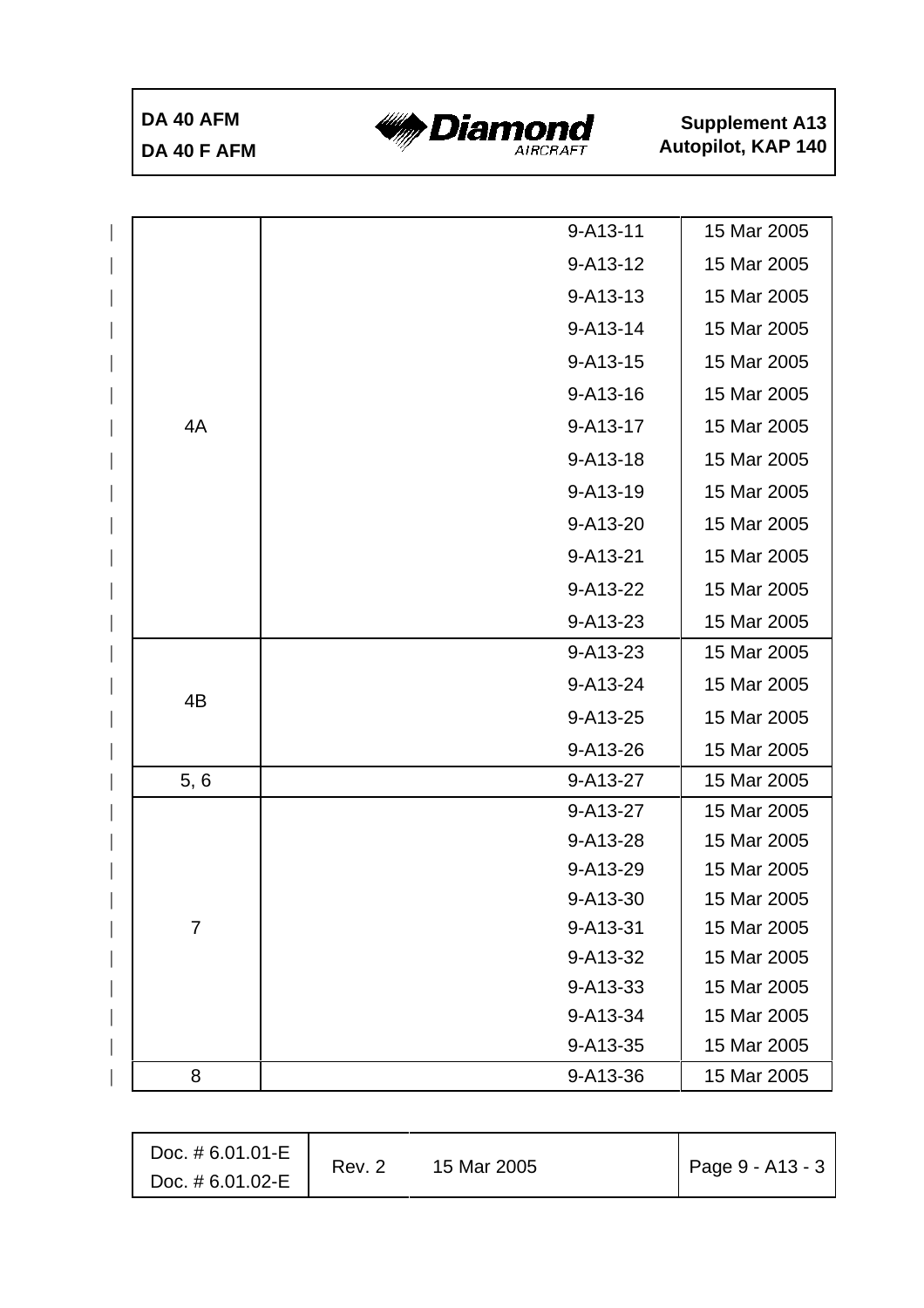**DA 40 AFM DA 40 F AFM**



**Supplement A13 Autopilot, KAP 140**

|                | 9-A13-11 | 15 Mar 2005 |
|----------------|----------|-------------|
|                | 9-A13-12 | 15 Mar 2005 |
|                | 9-A13-13 | 15 Mar 2005 |
|                | 9-A13-14 | 15 Mar 2005 |
|                | 9-A13-15 | 15 Mar 2005 |
|                | 9-A13-16 | 15 Mar 2005 |
| 4A             | 9-A13-17 | 15 Mar 2005 |
|                | 9-A13-18 | 15 Mar 2005 |
|                | 9-A13-19 | 15 Mar 2005 |
|                | 9-A13-20 | 15 Mar 2005 |
|                | 9-A13-21 | 15 Mar 2005 |
|                | 9-A13-22 | 15 Mar 2005 |
|                | 9-A13-23 | 15 Mar 2005 |
|                | 9-A13-23 | 15 Mar 2005 |
|                | 9-A13-24 | 15 Mar 2005 |
| 4B             | 9-A13-25 | 15 Mar 2005 |
|                | 9-A13-26 | 15 Mar 2005 |
| 5, 6           | 9-A13-27 | 15 Mar 2005 |
|                | 9-A13-27 | 15 Mar 2005 |
|                | 9-A13-28 | 15 Mar 2005 |
|                | 9-A13-29 | 15 Mar 2005 |
|                | 9-A13-30 | 15 Mar 2005 |
| $\overline{7}$ | 9-A13-31 | 15 Mar 2005 |
|                | 9-A13-32 | 15 Mar 2005 |
|                | 9-A13-33 | 15 Mar 2005 |
|                | 9-A13-34 | 15 Mar 2005 |
|                | 9-A13-35 | 15 Mar 2005 |
| 8              | 9-A13-36 | 15 Mar 2005 |

| Doc. $\# 6.01.01 - E$ |        |             |                  |
|-----------------------|--------|-------------|------------------|
| Doc. $\# 6.01.02 - E$ | Rev. 2 | 15 Mar 2005 | Page 9 - A13 - 3 |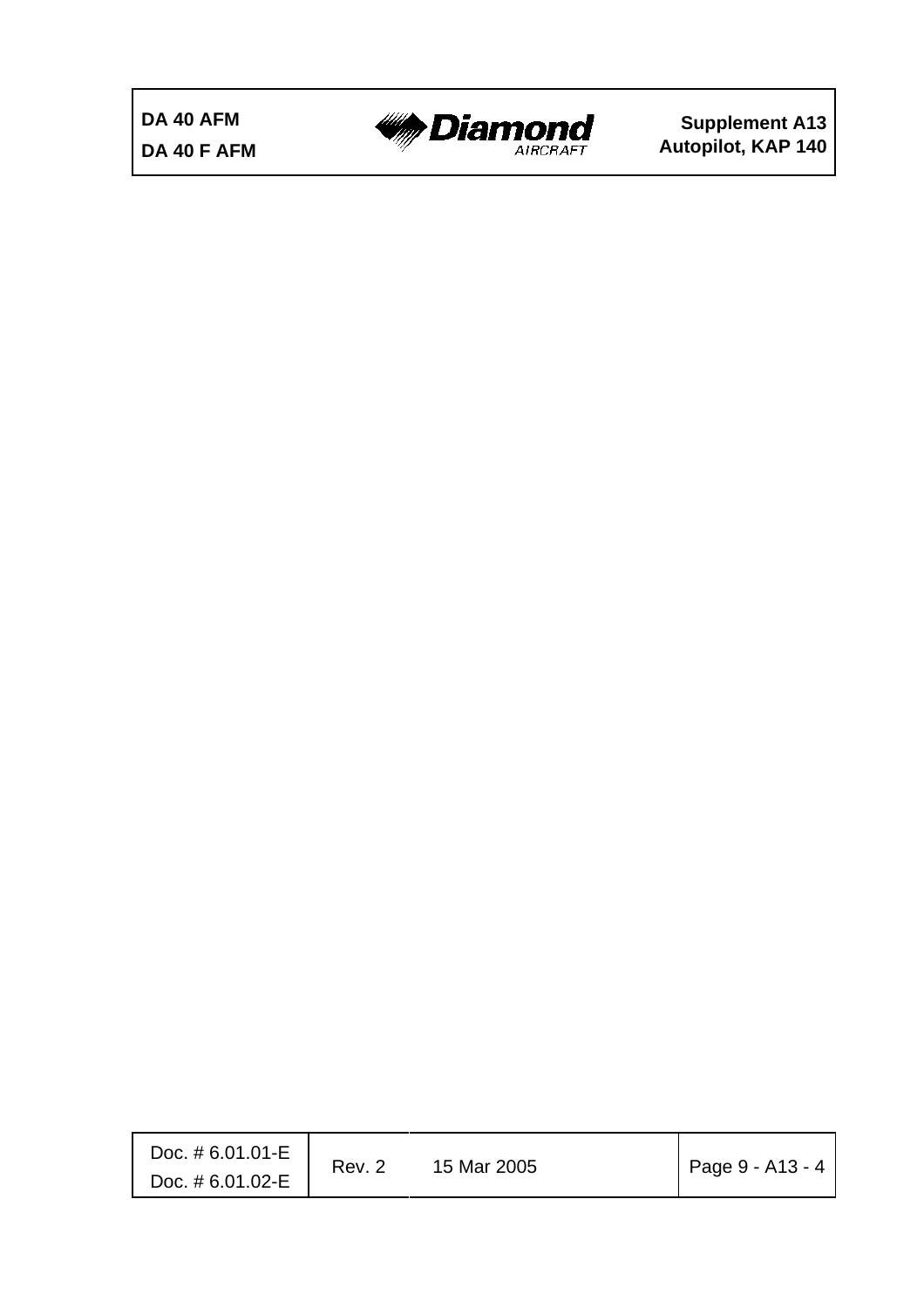**DA 40 AFM DA 40 F AFM**



**Supplement A13 Autopilot, KAP 140**

| Doc. # 6.01.01-E | Rev. 2 |             |                  |
|------------------|--------|-------------|------------------|
| Doc. # 6.01.02-E |        | 15 Mar 2005 | Page 9 - A13 - 4 |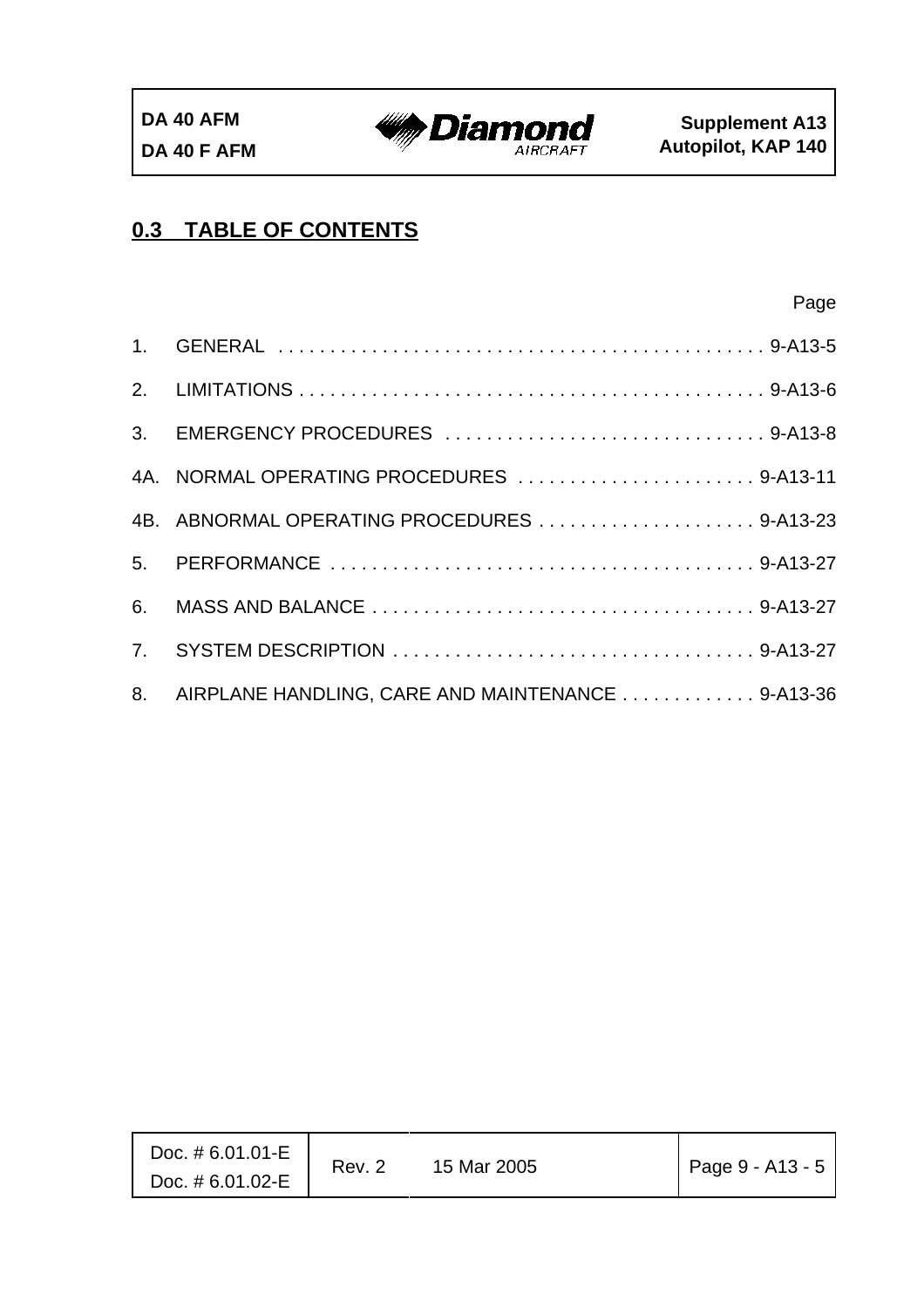

# **0.3 TABLE OF CONTENTS**

|                | Page                                              |
|----------------|---------------------------------------------------|
|                |                                                   |
|                |                                                   |
|                |                                                   |
|                | 4A. NORMAL OPERATING PROCEDURES 9-A13-11          |
|                | 4B. ABNORMAL OPERATING PROCEDURES 9-A13-23        |
| 5 <sub>1</sub> |                                                   |
| 6.             |                                                   |
|                |                                                   |
| 8.             | AIRPLANE HANDLING, CARE AND MAINTENANCE  9-A13-36 |

| Doc. # 6.01.01-E      |        |             |                  |
|-----------------------|--------|-------------|------------------|
| Doc. $\# 6.01.02 - E$ | Rev. 2 | 15 Mar 2005 | Page 9 - A13 - 5 |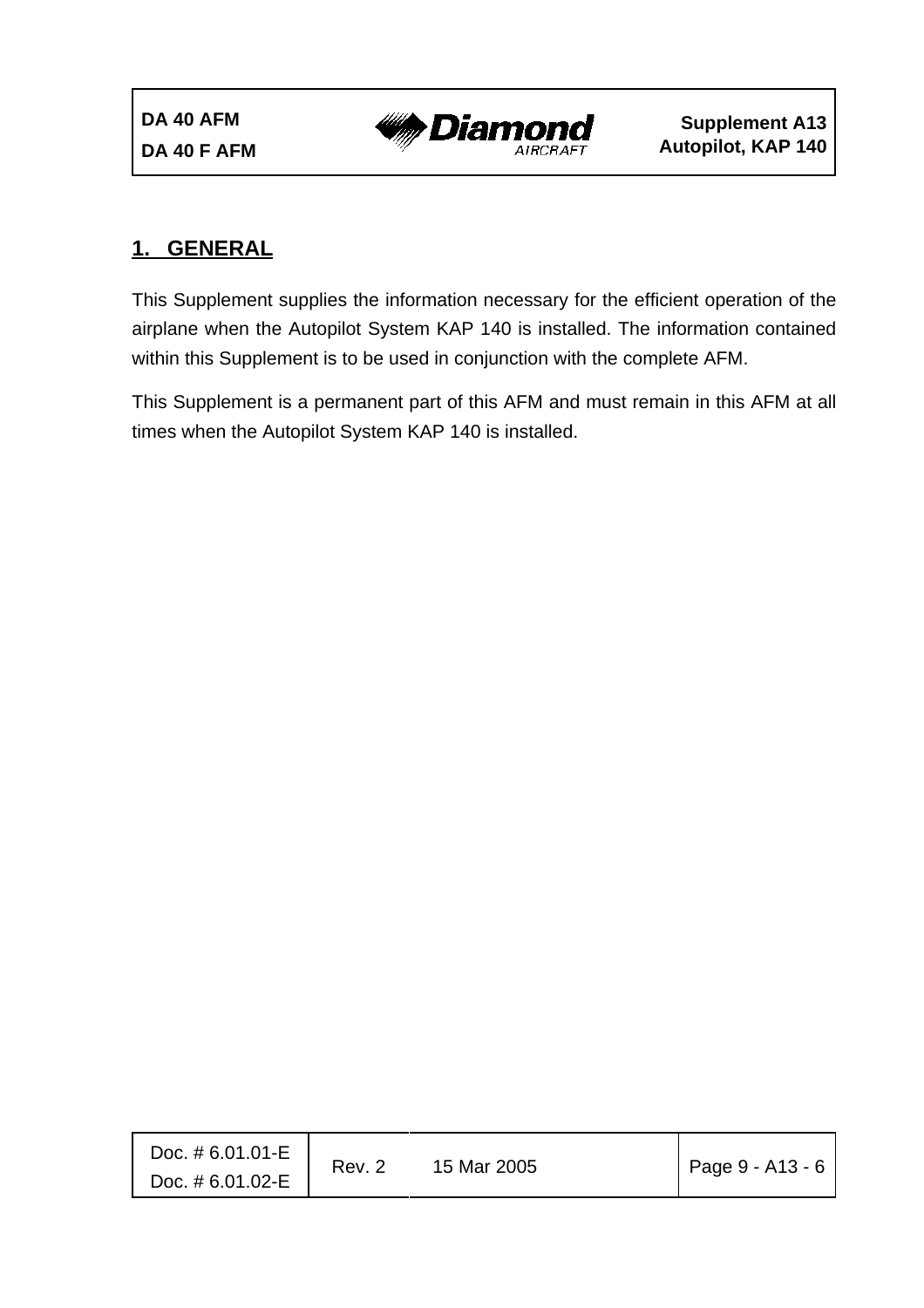

# **1. GENERAL**

This Supplement supplies the information necessary for the efficient operation of the airplane when the Autopilot System KAP 140 is installed. The information contained within this Supplement is to be used in conjunction with the complete AFM.

This Supplement is a permanent part of this AFM and must remain in this AFM at all times when the Autopilot System KAP 140 is installed.

| Doc. # 6.01.01-E |        |             |                    |
|------------------|--------|-------------|--------------------|
| Doc. # 6.01.02-E | Rev. 2 | 15 Mar 2005 | Page $9 - A13 - 6$ |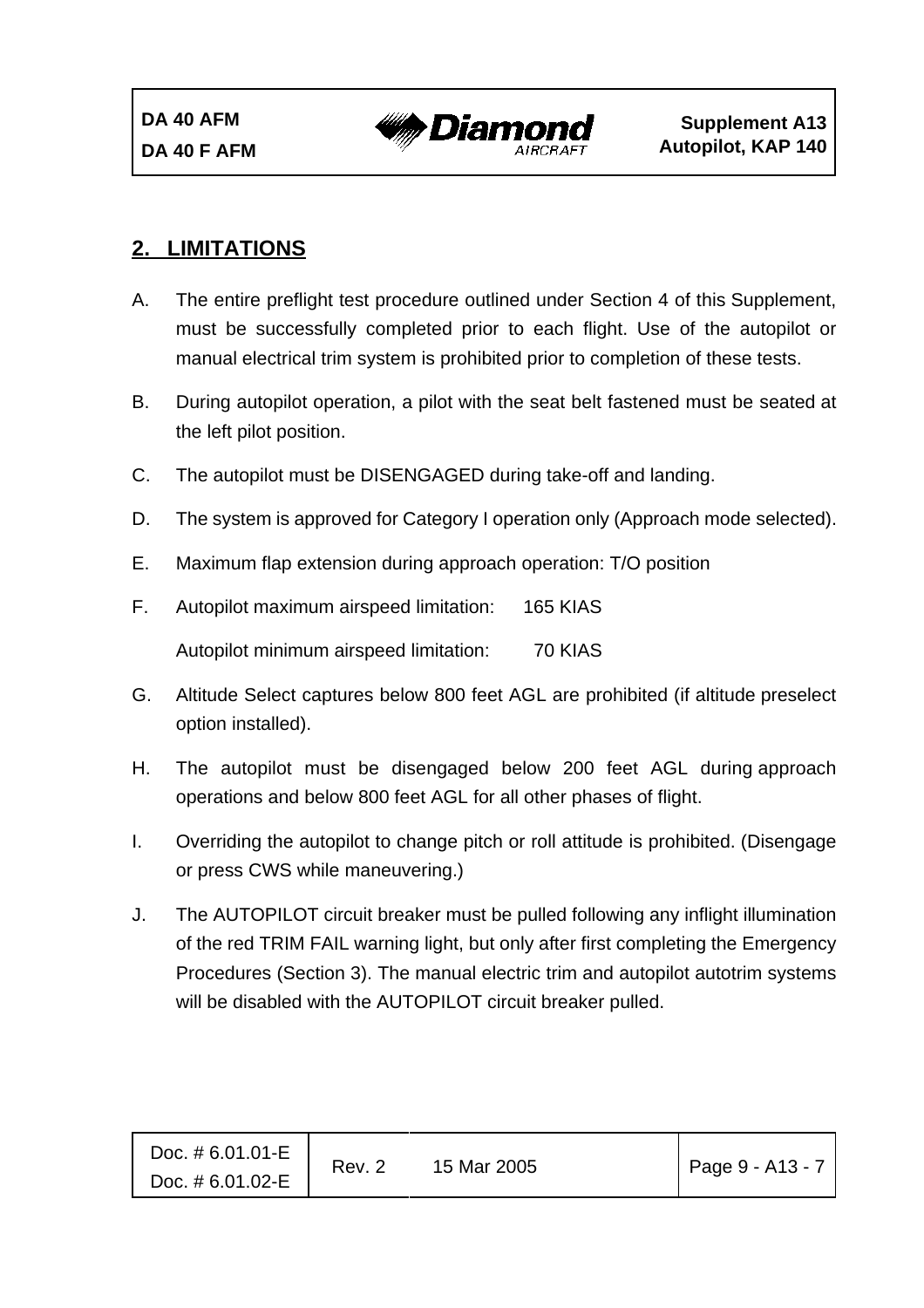

#### **2. LIMITATIONS**

- A. The entire preflight test procedure outlined under Section 4 of this Supplement, must be successfully completed prior to each flight. Use of the autopilot or manual electrical trim system is prohibited prior to completion of these tests.
- B. During autopilot operation, a pilot with the seat belt fastened must be seated at the left pilot position.
- C. The autopilot must be DISENGAGED during take-off and landing.
- D. The system is approved for Category I operation only (Approach mode selected).
- E. Maximum flap extension during approach operation: T/O position

| F. | Autopilot maximum airspeed limitation: | <b>165 KIAS</b> |
|----|----------------------------------------|-----------------|
|    | Autopilot minimum airspeed limitation: | 70 KIAS         |

- G. Altitude Select captures below 800 feet AGL are prohibited (if altitude preselect option installed).
- H. The autopilot must be disengaged below 200 feet AGL during approach operations and below 800 feet AGL for all other phases of flight.
- I. Overriding the autopilot to change pitch or roll attitude is prohibited. (Disengage or press CWS while maneuvering.)
- J. The AUTOPILOT circuit breaker must be pulled following any inflight illumination of the red TRIM FAIL warning light, but only after first completing the Emergency Procedures (Section 3). The manual electric trim and autopilot autotrim systems will be disabled with the AUTOPILOT circuit breaker pulled.

| Doc. $\# 6.01.01 - E$ |      |             |                  |
|-----------------------|------|-------------|------------------|
| Doc. $\# 6.01.02 - E$ | Rev. | 15 Mar 2005 | Page 9 - A13 - 7 |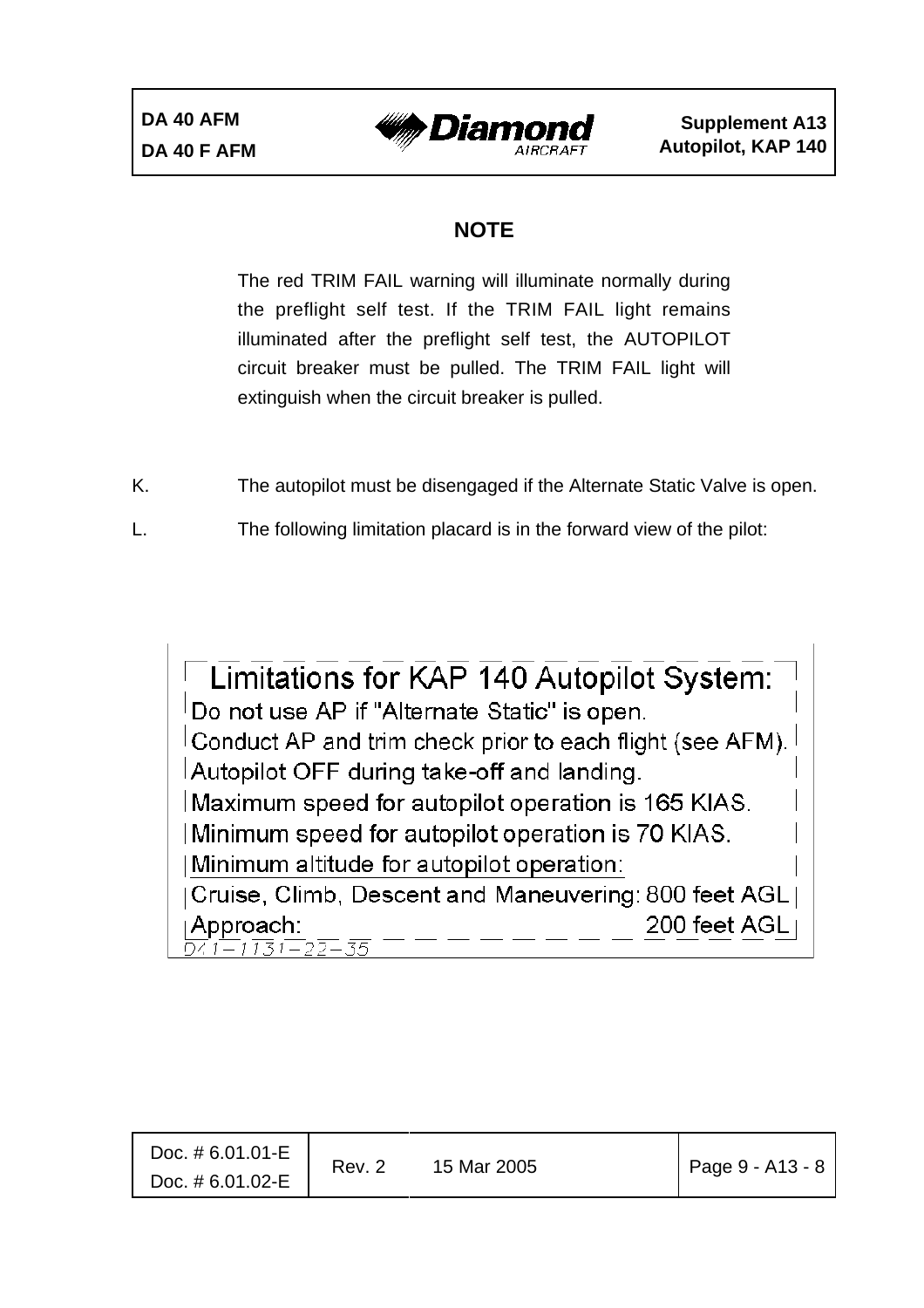

The red TRIM FAIL warning will illuminate normally during the preflight self test. If the TRIM FAIL light remains illuminated after the preflight self test, the AUTOPILOT circuit breaker must be pulled. The TRIM FAIL light will extinguish when the circuit breaker is pulled.

- K. The autopilot must be disengaged if the Alternate Static Valve is open.
- L. The following limitation placard is in the forward view of the pilot:



| Doc. # 6.01.01-E      |        |             |                    |
|-----------------------|--------|-------------|--------------------|
| Doc. $\# 6.01.02 - E$ | Rev. 2 | 15 Mar 2005 | Page $9 - A13 - B$ |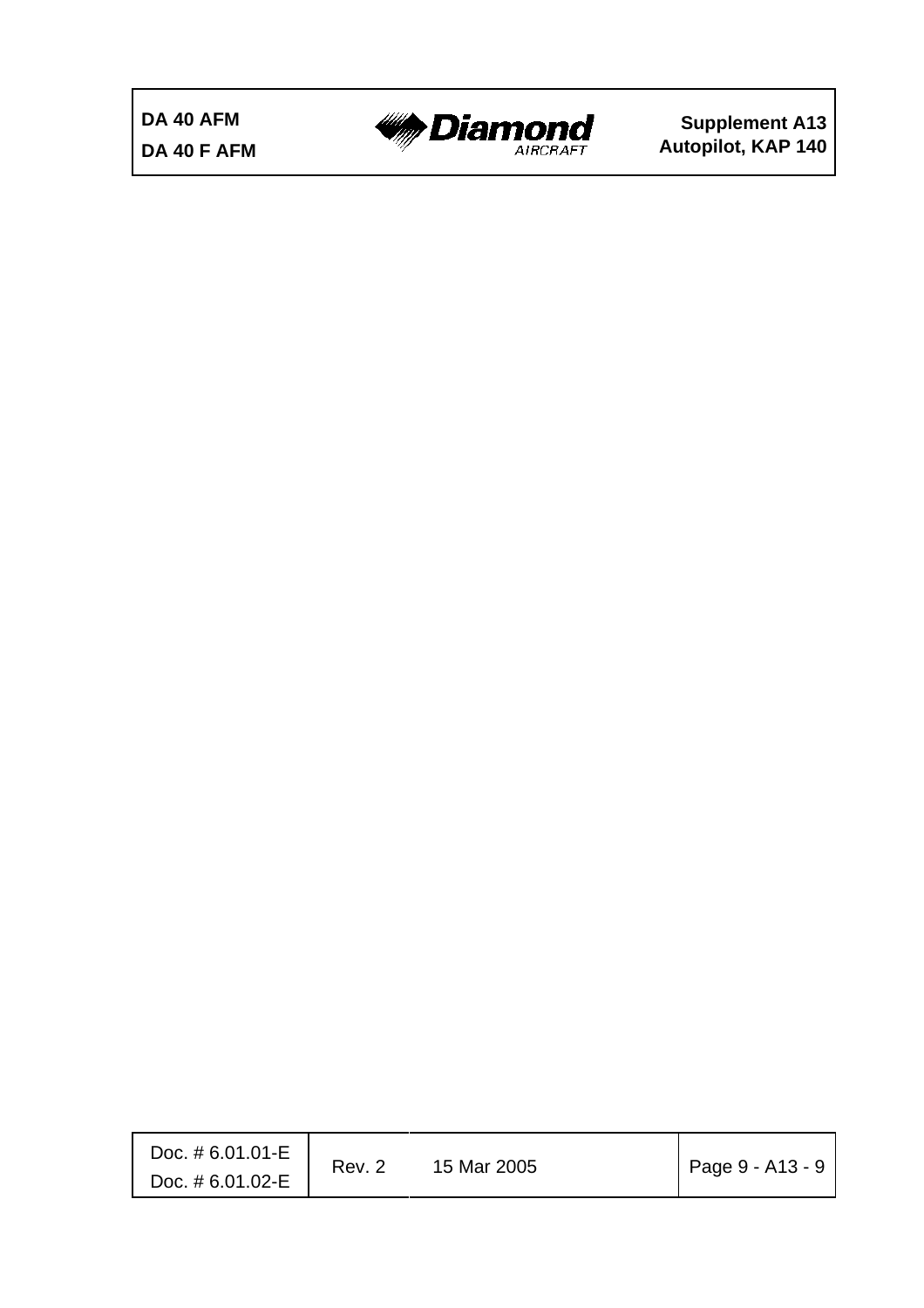**DA 40 AFM DA 40 F AFM**



**Supplement A13 Autopilot, KAP 140**

| Doc. # 6.01.01-E | Rev. 2 |             |                    |
|------------------|--------|-------------|--------------------|
| Doc. # 6.01.02-E |        | 15 Mar 2005 | Page $9 - A13 - 9$ |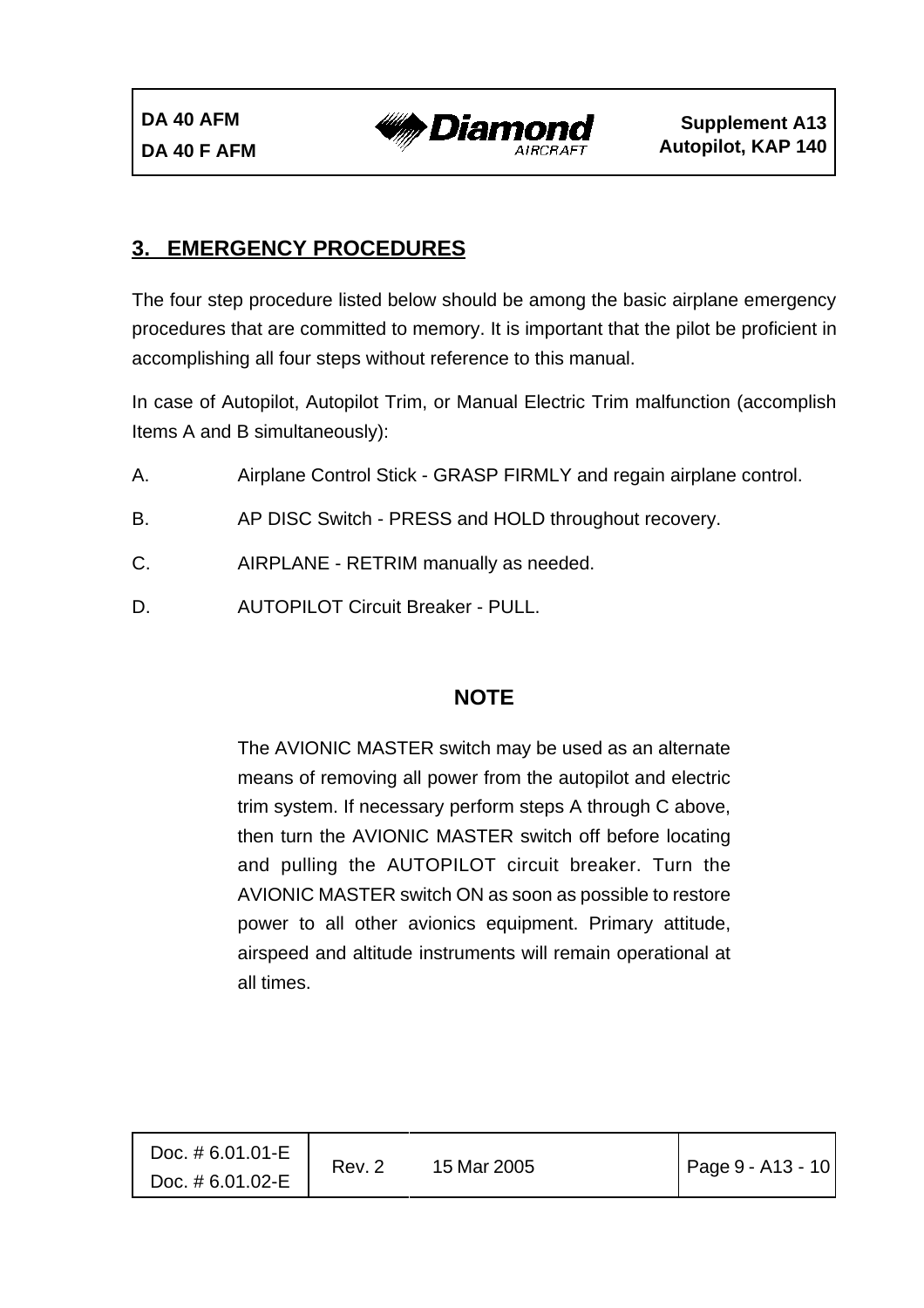

### **3. EMERGENCY PROCEDURES**

The four step procedure listed below should be among the basic airplane emergency procedures that are committed to memory. It is important that the pilot be proficient in accomplishing all four steps without reference to this manual.

In case of Autopilot, Autopilot Trim, or Manual Electric Trim malfunction (accomplish Items A and B simultaneously):

- A. Airplane Control Stick GRASP FIRMLY and regain airplane control.
- B. AP DISC Switch PRESS and HOLD throughout recovery.
- C. AIRPLANE RETRIM manually as needed.
- D. AUTOPILOT Circuit Breaker PULL.

## **NOTE**

The AVIONIC MASTER switch may be used as an alternate means of removing all power from the autopilot and electric trim system. If necessary perform steps A through C above, then turn the AVIONIC MASTER switch off before locating and pulling the AUTOPILOT circuit breaker. Turn the AVIONIC MASTER switch ON as soon as possible to restore power to all other avionics equipment. Primary attitude, airspeed and altitude instruments will remain operational at all times.

| Doc. $\# 6.01.01 - E$ | Rev. 2 | 15 Mar 2005 | Page 9 - A13 - 10 |
|-----------------------|--------|-------------|-------------------|
| Doc. # 6.01.02-E      |        |             |                   |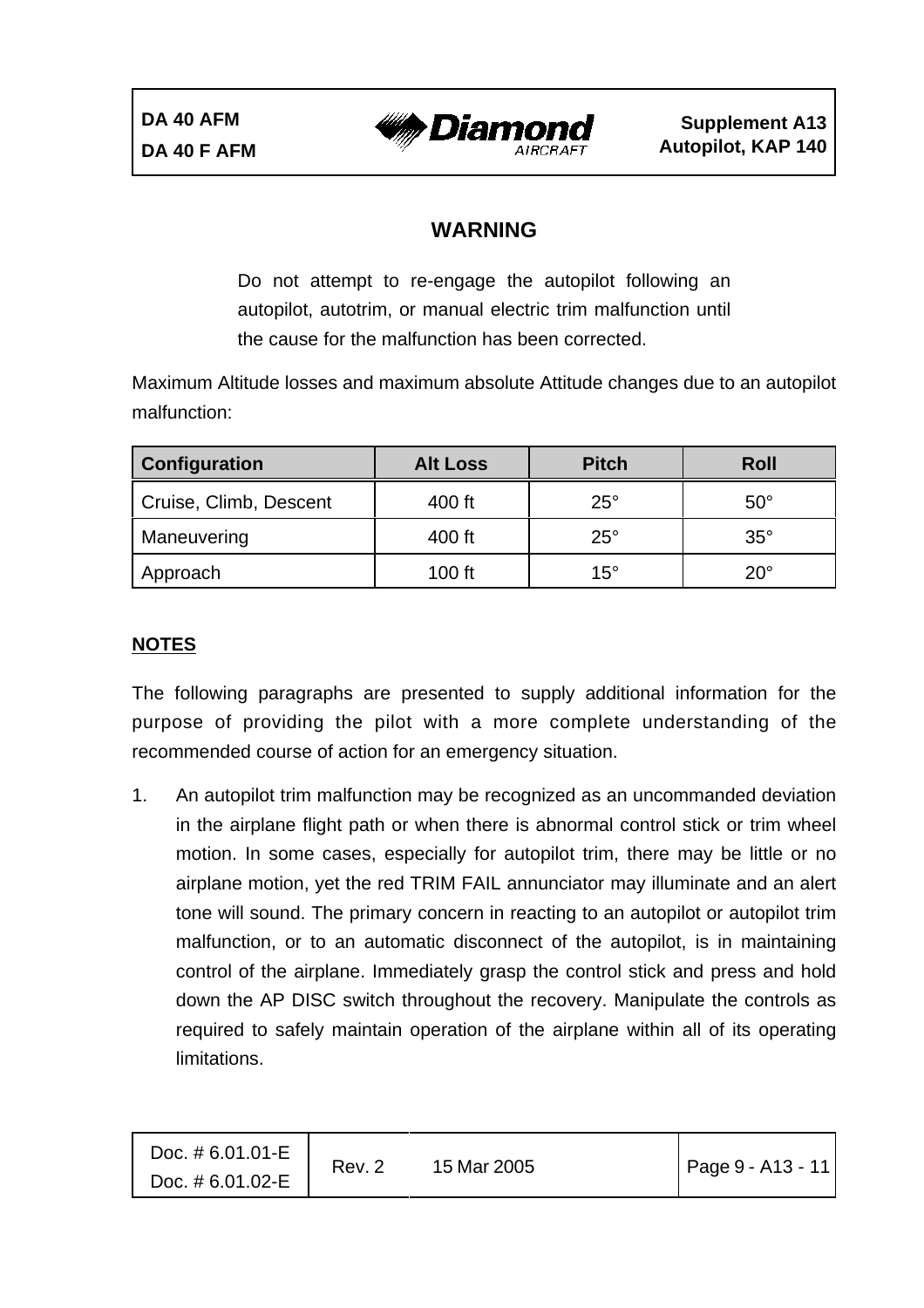

### **WARNING**

Do not attempt to re-engage the autopilot following an autopilot, autotrim, or manual electric trim malfunction until the cause for the malfunction has been corrected.

Maximum Altitude losses and maximum absolute Attitude changes due to an autopilot malfunction:

| Configuration          | <b>Alt Loss</b> | <b>Pitch</b> | <b>Roll</b>  |
|------------------------|-----------------|--------------|--------------|
| Cruise, Climb, Descent | 400 ft          | $25^{\circ}$ | $50^{\circ}$ |
| Maneuvering            | 400 ft          | $25^{\circ}$ | $35^\circ$   |
| Approach               | $100$ ft        | $15^{\circ}$ | $20^{\circ}$ |

#### **NOTES**

The following paragraphs are presented to supply additional information for the purpose of providing the pilot with a more complete understanding of the recommended course of action for an emergency situation.

1. An autopilot trim malfunction may be recognized as an uncommanded deviation in the airplane flight path or when there is abnormal control stick or trim wheel motion. In some cases, especially for autopilot trim, there may be little or no airplane motion, yet the red TRIM FAIL annunciator may illuminate and an alert tone will sound. The primary concern in reacting to an autopilot or autopilot trim malfunction, or to an automatic disconnect of the autopilot, is in maintaining control of the airplane. Immediately grasp the control stick and press and hold down the AP DISC switch throughout the recovery. Manipulate the controls as required to safely maintain operation of the airplane within all of its operating limitations.

| Doc. $\# 6.01.01 - E$ | Rev. 2 |             |                                   |
|-----------------------|--------|-------------|-----------------------------------|
| Doc. # 6.01.02-E      |        | 15 Mar 2005 | $\vert$ Page 9 - A13 - 11 $\vert$ |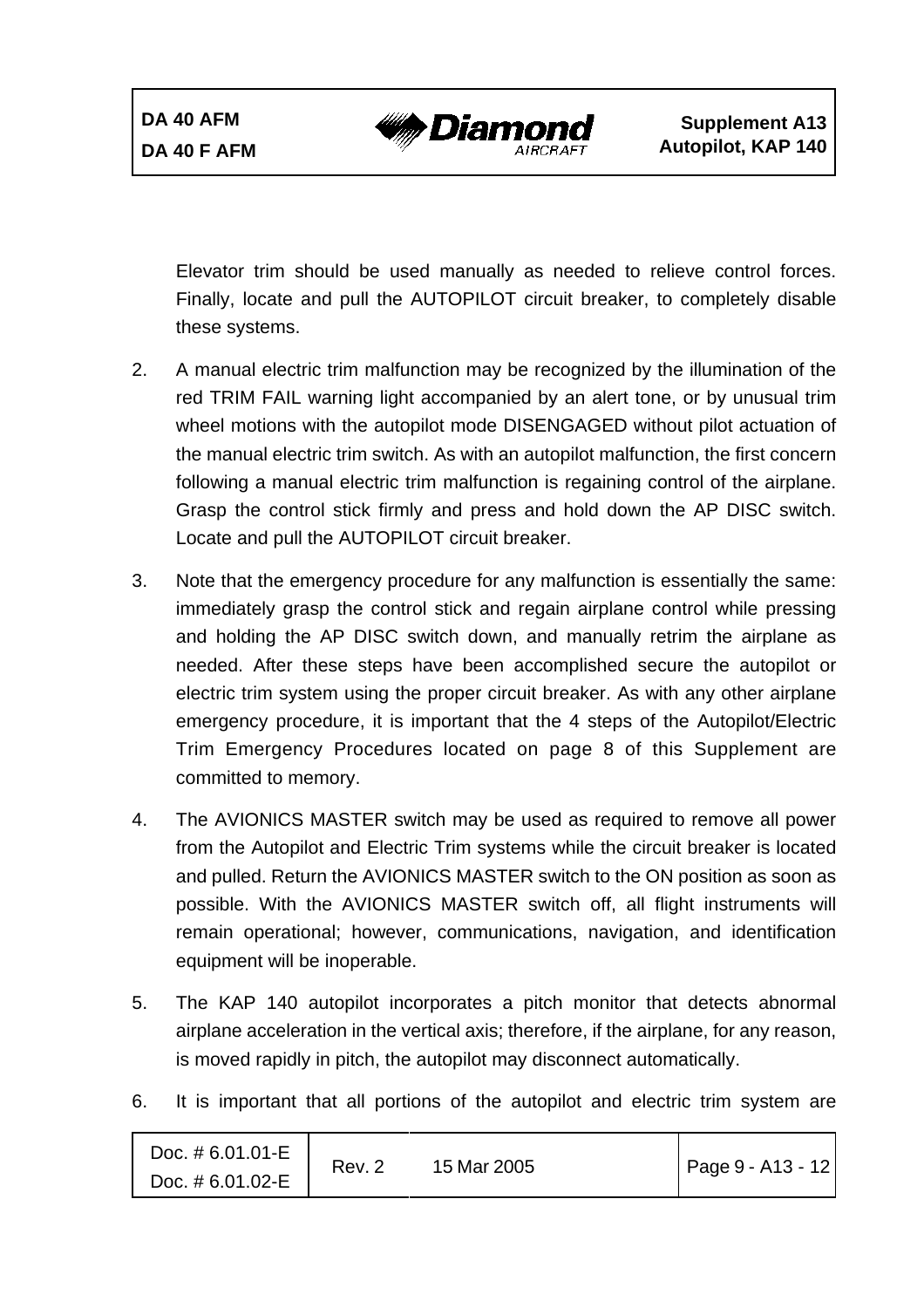**DA 40 AFM DA 40 F AFM**



**Supplement A13 Autopilot, KAP 140**

Elevator trim should be used manually as needed to relieve control forces. Finally, locate and pull the AUTOPILOT circuit breaker, to completely disable these systems.

- 2. A manual electric trim malfunction may be recognized by the illumination of the red TRIM FAIL warning light accompanied by an alert tone, or by unusual trim wheel motions with the autopilot mode DISENGAGED without pilot actuation of the manual electric trim switch. As with an autopilot malfunction, the first concern following a manual electric trim malfunction is regaining control of the airplane. Grasp the control stick firmly and press and hold down the AP DISC switch. Locate and pull the AUTOPILOT circuit breaker.
- 3. Note that the emergency procedure for any malfunction is essentially the same: immediately grasp the control stick and regain airplane control while pressing and holding the AP DISC switch down, and manually retrim the airplane as needed. After these steps have been accomplished secure the autopilot or electric trim system using the proper circuit breaker. As with any other airplane emergency procedure, it is important that the 4 steps of the Autopilot/Electric Trim Emergency Procedures located on page 8 of this Supplement are committed to memory.
- 4. The AVIONICS MASTER switch may be used as required to remove all power from the Autopilot and Electric Trim systems while the circuit breaker is located and pulled. Return the AVIONICS MASTER switch to the ON position as soon as possible. With the AVIONICS MASTER switch off, all flight instruments will remain operational; however, communications, navigation, and identification equipment will be inoperable.
- 5. The KAP 140 autopilot incorporates a pitch monitor that detects abnormal airplane acceleration in the vertical axis; therefore, if the airplane, for any reason, is moved rapidly in pitch, the autopilot may disconnect automatically.
- 6. It is important that all portions of the autopilot and electric trim system are

| Doc. # 6.01.01-E |        |             |                                   |
|------------------|--------|-------------|-----------------------------------|
| Doc. # 6.01.02-E | Rev. 2 | 15 Mar 2005 | $\vert$ Page 9 - A13 - 12 $\vert$ |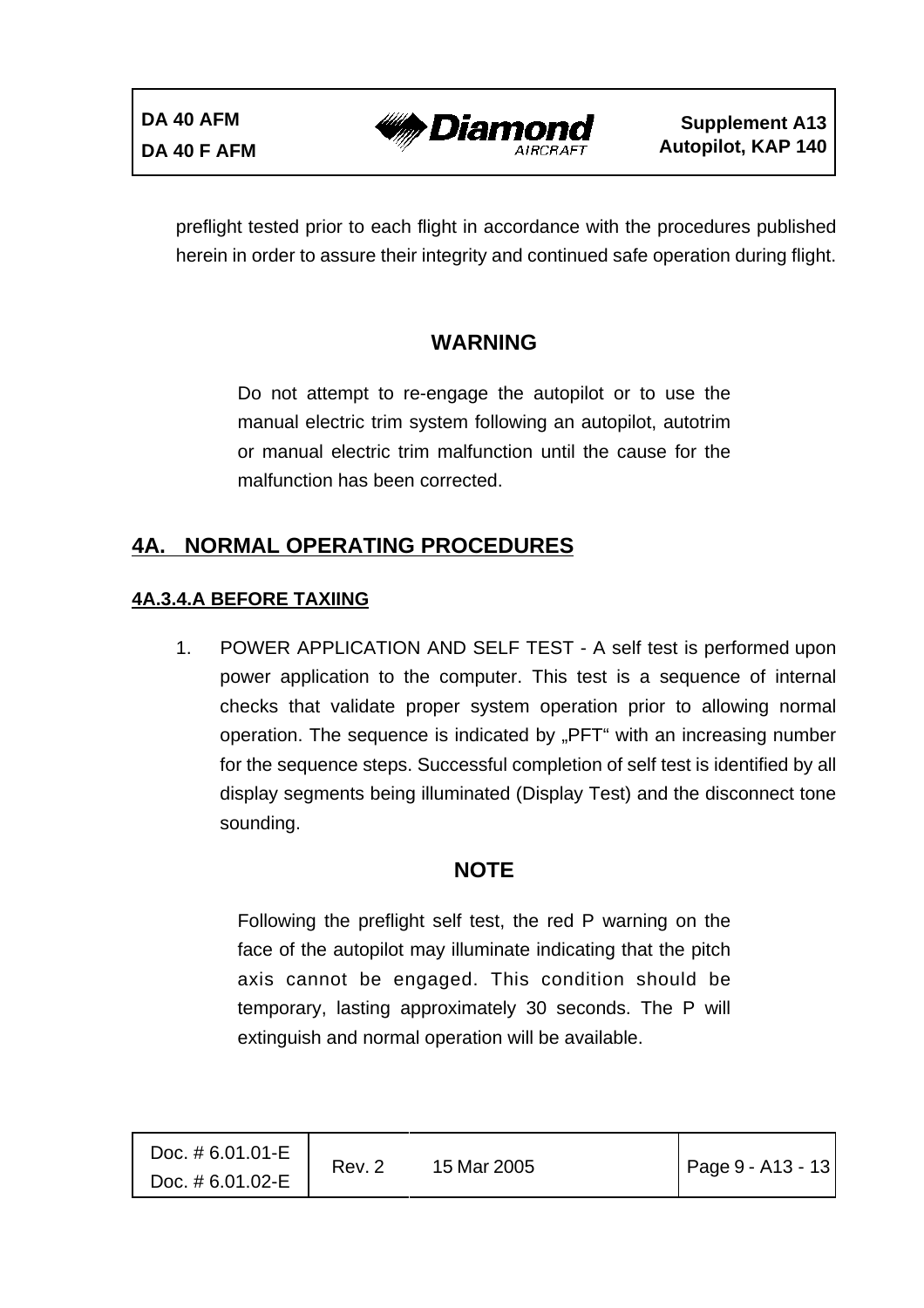

preflight tested prior to each flight in accordance with the procedures published herein in order to assure their integrity and continued safe operation during flight.

# **WARNING**

Do not attempt to re-engage the autopilot or to use the manual electric trim system following an autopilot, autotrim or manual electric trim malfunction until the cause for the malfunction has been corrected.

# **4A. NORMAL OPERATING PROCEDURES**

#### **4A.3.4.A BEFORE TAXIING**

1. POWER APPLICATION AND SELF TEST - A self test is performed upon power application to the computer. This test is a sequence of internal checks that validate proper system operation prior to allowing normal operation. The sequence is indicated by "PFT" with an increasing number for the sequence steps. Successful completion of self test is identified by all display segments being illuminated (Display Test) and the disconnect tone sounding.

## **NOTE**

Following the preflight self test, the red P warning on the face of the autopilot may illuminate indicating that the pitch axis cannot be engaged. This condition should be temporary, lasting approximately 30 seconds. The P will extinguish and normal operation will be available.

| Doc. $\# 6.01.01 - E$ |        |             |                   |
|-----------------------|--------|-------------|-------------------|
| Doc. $\# 6.01.02 - E$ | Rev. 2 | 15 Mar 2005 | Page 9 - A13 - 13 |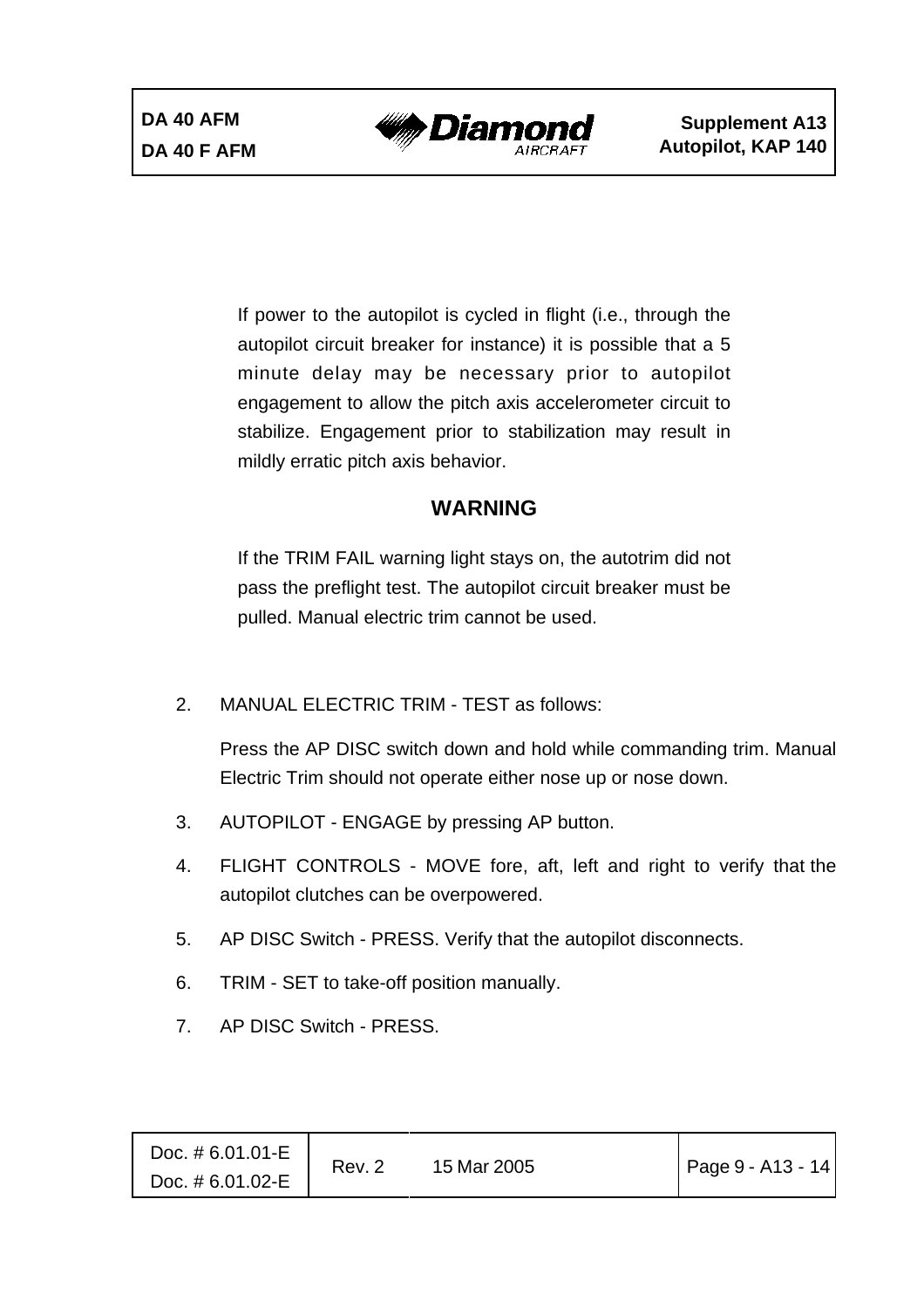

If power to the autopilot is cycled in flight (i.e., through the autopilot circuit breaker for instance) it is possible that a 5 minute delay may be necessary prior to autopilot engagement to allow the pitch axis accelerometer circuit to stabilize. Engagement prior to stabilization may result in mildly erratic pitch axis behavior.

#### **WARNING**

If the TRIM FAIL warning light stays on, the autotrim did not pass the preflight test. The autopilot circuit breaker must be pulled. Manual electric trim cannot be used.

2. MANUAL ELECTRIC TRIM - TEST as follows:

Press the AP DISC switch down and hold while commanding trim. Manual Electric Trim should not operate either nose up or nose down.

- 3. AUTOPILOT ENGAGE by pressing AP button.
- 4. FLIGHT CONTROLS MOVE fore, aft, left and right to verify that the autopilot clutches can be overpowered.
- 5. AP DISC Switch PRESS. Verify that the autopilot disconnects.
- 6. TRIM SET to take-off position manually.
- 7. AP DISC Switch PRESS.

| Doc. $\# 6.01.01 - E$ |        |             |                   |
|-----------------------|--------|-------------|-------------------|
| Doc. #6.01.02-E       | Rev. 2 | 15 Mar 2005 | Page 9 - A13 - 14 |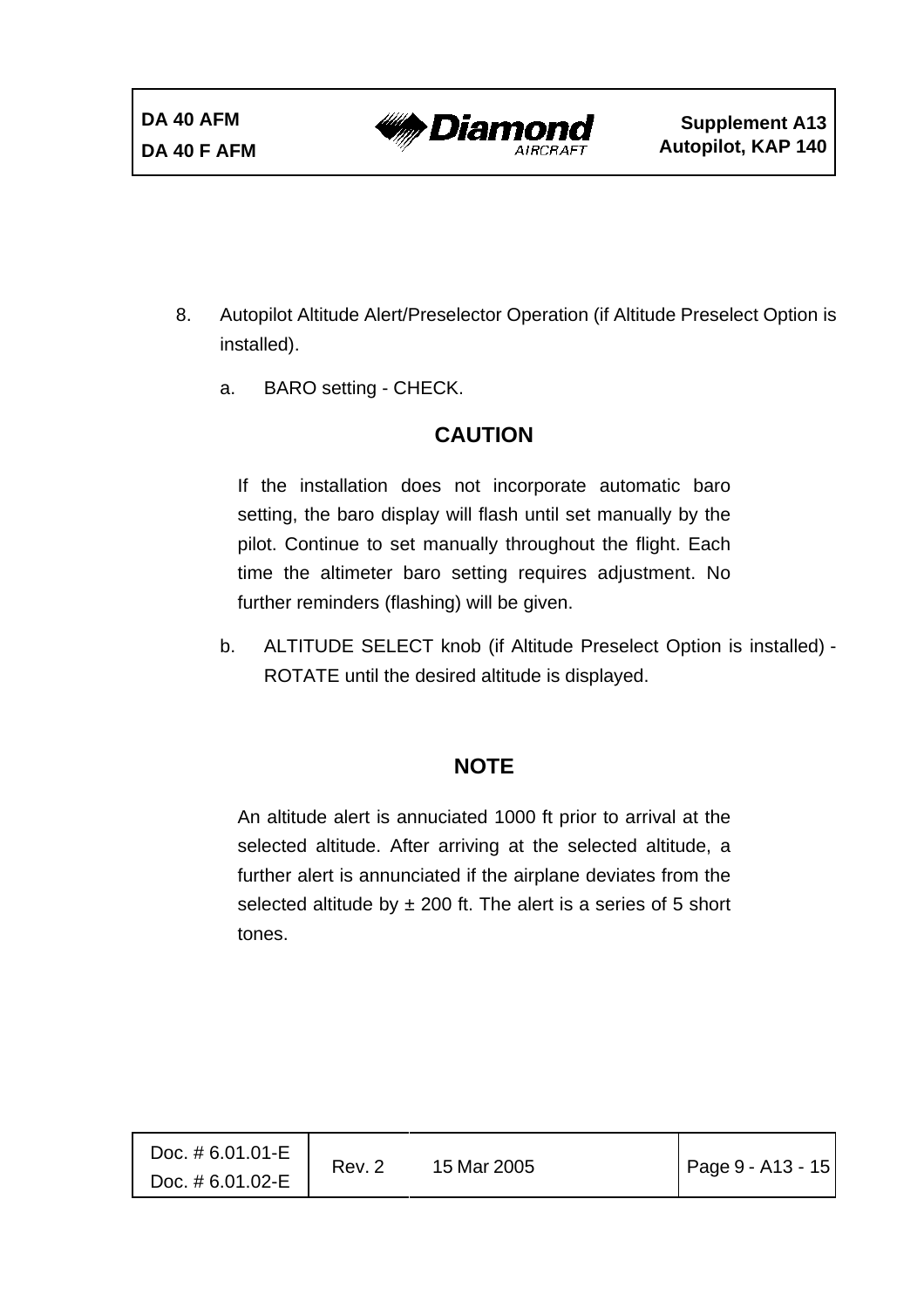

- 8. Autopilot Altitude Alert/Preselector Operation (if Altitude Preselect Option is installed).
	- a. BARO setting CHECK.

# **CAUTION**

If the installation does not incorporate automatic baro setting, the baro display will flash until set manually by the pilot. Continue to set manually throughout the flight. Each time the altimeter baro setting requires adjustment. No further reminders (flashing) will be given.

b. ALTITUDE SELECT knob (if Altitude Preselect Option is installed) - ROTATE until the desired altitude is displayed.

#### **NOTE**

An altitude alert is annuciated 1000 ft prior to arrival at the selected altitude. After arriving at the selected altitude, a further alert is annunciated if the airplane deviates from the selected altitude by  $\pm 200$  ft. The alert is a series of 5 short tones.

| Doc. $\# 6.01.01 - E$ | Rev. 2 | 15 Mar 2005 |                   |
|-----------------------|--------|-------------|-------------------|
| Doc. $\# 6.01.02 - E$ |        |             | Page 9 - A13 - 15 |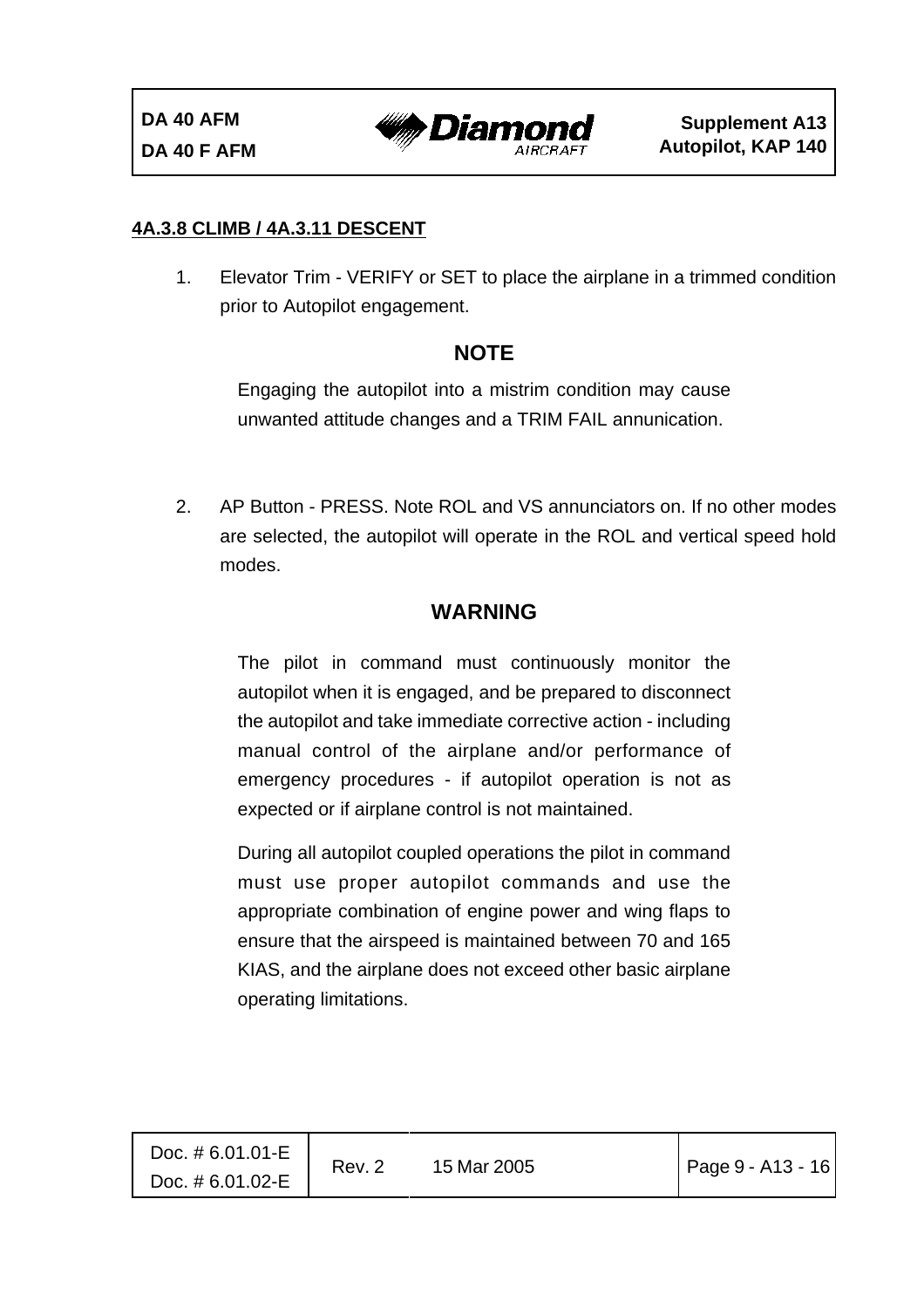

#### **4A.3.8 CLIMB / 4A.3.11 DESCENT**

1. Elevator Trim - VERIFY or SET to place the airplane in a trimmed condition prior to Autopilot engagement.

#### **NOTE**

Engaging the autopilot into a mistrim condition may cause unwanted attitude changes and a TRIM FAIL annunication.

2. AP Button - PRESS. Note ROL and VS annunciators on. If no other modes are selected, the autopilot will operate in the ROL and vertical speed hold modes.

# **WARNING**

The pilot in command must continuously monitor the autopilot when it is engaged, and be prepared to disconnect the autopilot and take immediate corrective action - including manual control of the airplane and/or performance of emergency procedures - if autopilot operation is not as expected or if airplane control is not maintained.

During all autopilot coupled operations the pilot in command must use proper autopilot commands and use the appropriate combination of engine power and wing flaps to ensure that the airspeed is maintained between 70 and 165 KIAS, and the airplane does not exceed other basic airplane operating limitations.

| Doc. $\# 6.01.01 - E$ | Rev. 2 | 15 Mar 2005 |                   |
|-----------------------|--------|-------------|-------------------|
| Doc. $\# 6.01.02 - E$ |        |             | Page 9 - A13 - 16 |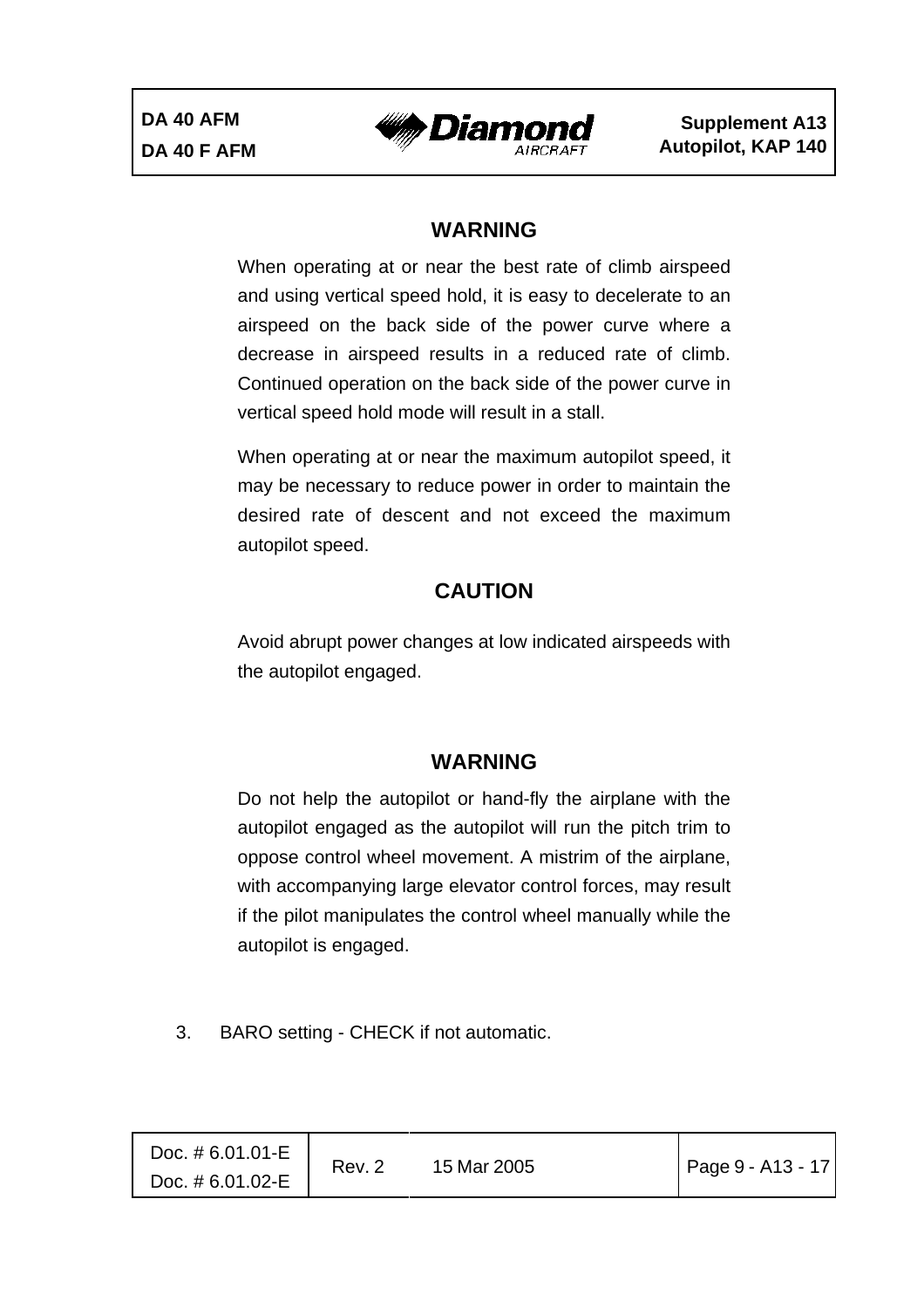

**Supplement A13 Autopilot, KAP 140**

#### **WARNING**

When operating at or near the best rate of climb airspeed and using vertical speed hold, it is easy to decelerate to an airspeed on the back side of the power curve where a decrease in airspeed results in a reduced rate of climb. Continued operation on the back side of the power curve in vertical speed hold mode will result in a stall.

When operating at or near the maximum autopilot speed, it may be necessary to reduce power in order to maintain the desired rate of descent and not exceed the maximum autopilot speed.

#### **CAUTION**

Avoid abrupt power changes at low indicated airspeeds with the autopilot engaged.

#### **WARNING**

Do not help the autopilot or hand-fly the airplane with the autopilot engaged as the autopilot will run the pitch trim to oppose control wheel movement. A mistrim of the airplane, with accompanying large elevator control forces, may result if the pilot manipulates the control wheel manually while the autopilot is engaged.

3. BARO setting - CHECK if not automatic.

| Doc. # 6.01.01-E      |        |             |                   |
|-----------------------|--------|-------------|-------------------|
| Doc. $\# 6.01.02 - E$ | Rev. 2 | 15 Mar 2005 | Page 9 - A13 - 17 |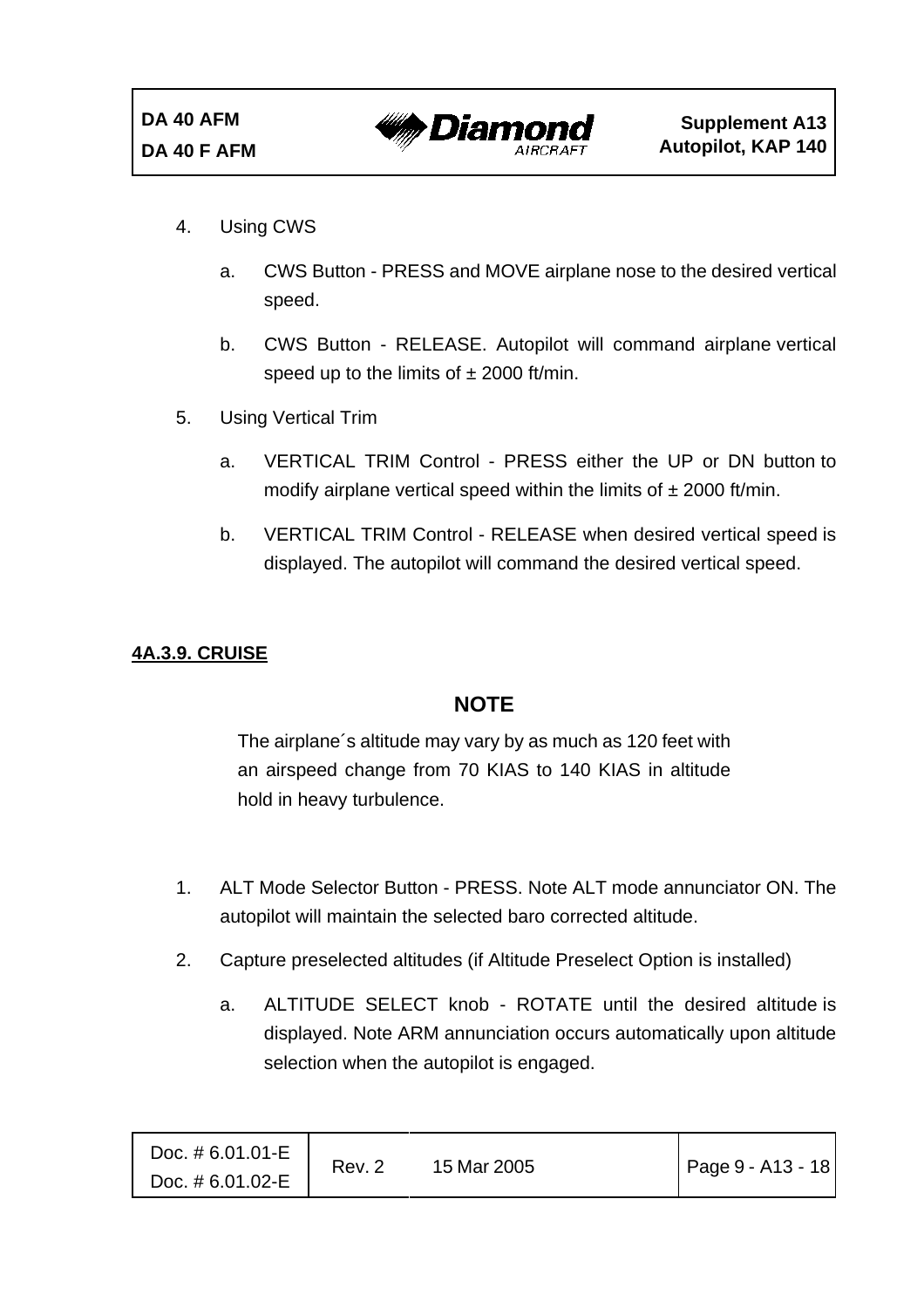

- 4. Using CWS
	- a. CWS Button PRESS and MOVE airplane nose to the desired vertical speed.
	- b. CWS Button RELEASE. Autopilot will command airplane vertical speed up to the limits of  $\pm$  2000 ft/min.
- 5. Using Vertical Trim
	- a. VERTICAL TRIM Control PRESS either the UP or DN button to modify airplane vertical speed within the limits of  $\pm$  2000 ft/min.
	- b. VERTICAL TRIM Control RELEASE when desired vertical speed is displayed. The autopilot will command the desired vertical speed.

#### **4A.3.9. CRUISE**

#### **NOTE**

The airplane´s altitude may vary by as much as 120 feet with an airspeed change from 70 KIAS to 140 KIAS in altitude hold in heavy turbulence.

- 1. ALT Mode Selector Button PRESS. Note ALT mode annunciator ON. The autopilot will maintain the selected baro corrected altitude.
- 2. Capture preselected altitudes (if Altitude Preselect Option is installed)
	- a. ALTITUDE SELECT knob ROTATE until the desired altitude is displayed. Note ARM annunciation occurs automatically upon altitude selection when the autopilot is engaged.

| Doc. # 6.01.01-E |        |             |                   |
|------------------|--------|-------------|-------------------|
| Doc. #6.01.02-E  | Rev. 2 | 15 Mar 2005 | Page 9 - A13 - 18 |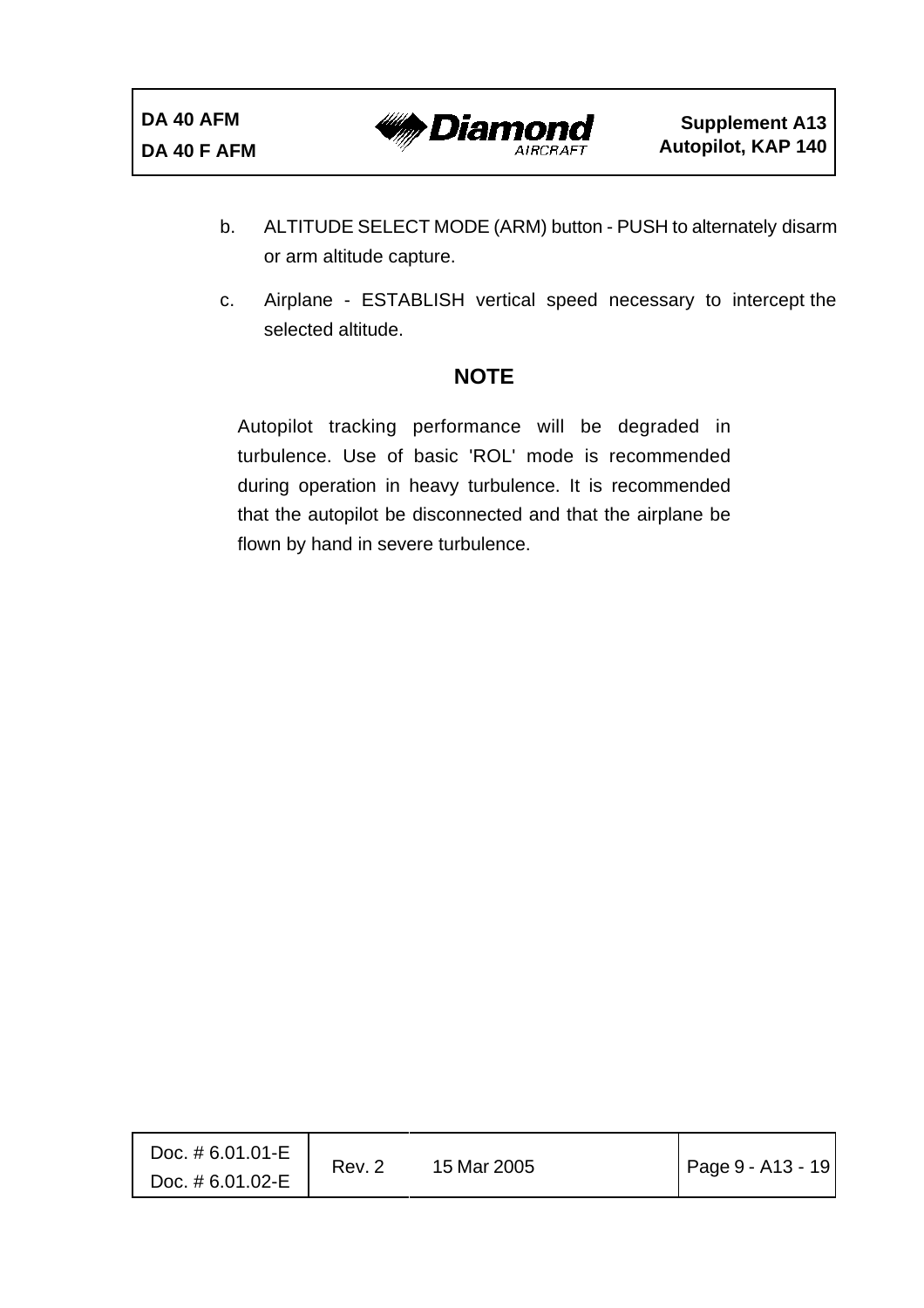

- b. ALTITUDE SELECT MODE (ARM) button PUSH to alternately disarm or arm altitude capture.
- c. Airplane ESTABLISH vertical speed necessary to intercept the selected altitude.

Autopilot tracking performance will be degraded in turbulence. Use of basic 'ROL' mode is recommended during operation in heavy turbulence. It is recommended that the autopilot be disconnected and that the airplane be flown by hand in severe turbulence.

| Doc. $\# 6.01.01 - E$ |        |             |                   |
|-----------------------|--------|-------------|-------------------|
| Doc. # 6.01.02-E      | Rev. 2 | 15 Mar 2005 | Page 9 - A13 - 19 |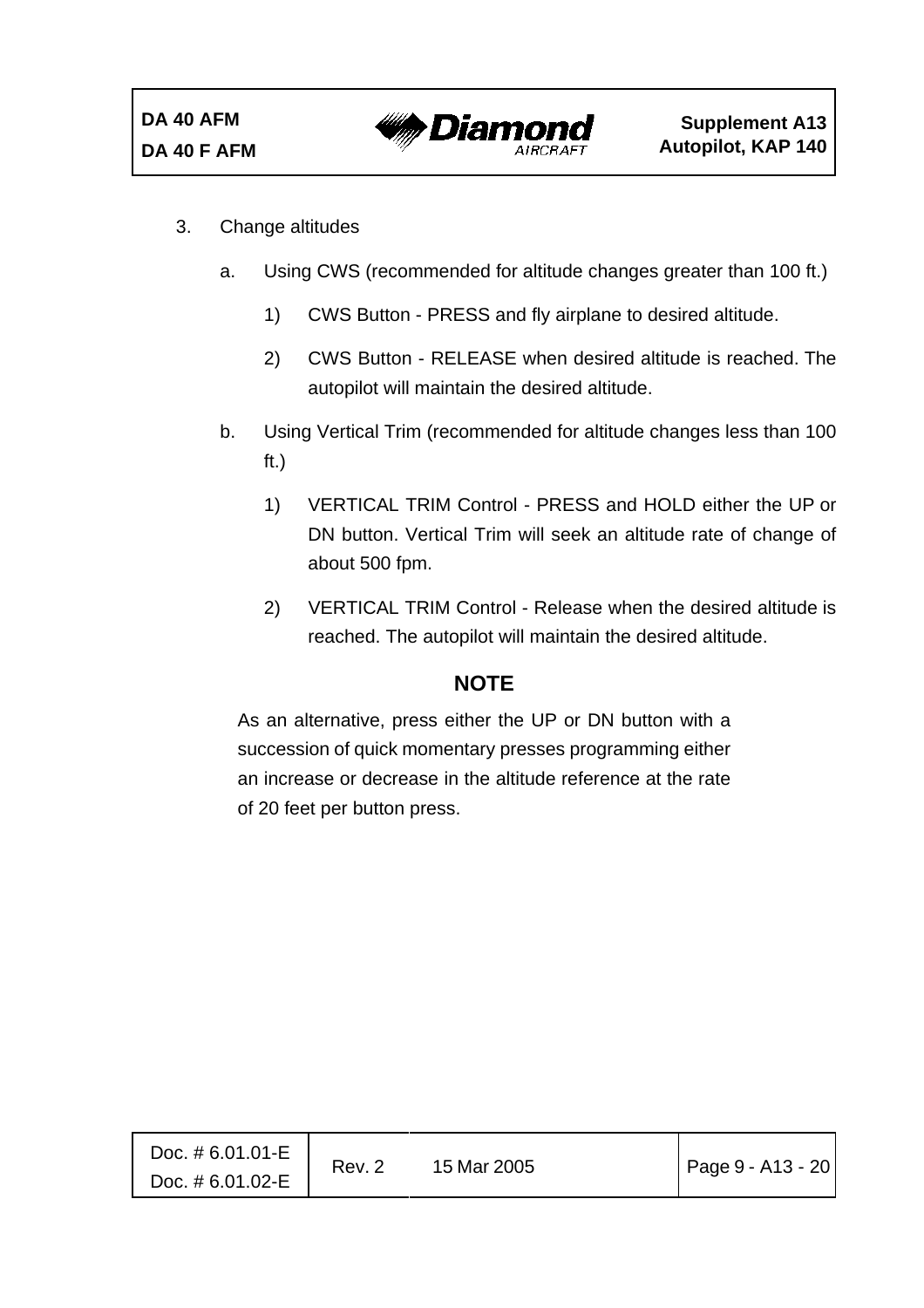

- 3. Change altitudes
	- a. Using CWS (recommended for altitude changes greater than 100 ft.)
		- 1) CWS Button PRESS and fly airplane to desired altitude.
		- 2) CWS Button RELEASE when desired altitude is reached. The autopilot will maintain the desired altitude.
	- b. Using Vertical Trim (recommended for altitude changes less than 100 ft.)
		- 1) VERTICAL TRIM Control PRESS and HOLD either the UP or DN button. Vertical Trim will seek an altitude rate of change of about 500 fpm.
		- 2) VERTICAL TRIM Control Release when the desired altitude is reached. The autopilot will maintain the desired altitude.

As an alternative, press either the UP or DN button with a succession of quick momentary presses programming either an increase or decrease in the altitude reference at the rate of 20 feet per button press.

| Doc. # 6.01.01-E |        |             |                   |
|------------------|--------|-------------|-------------------|
| Doc. # 6.01.02-E | Rev. 2 | 15 Mar 2005 | Page 9 - A13 - 20 |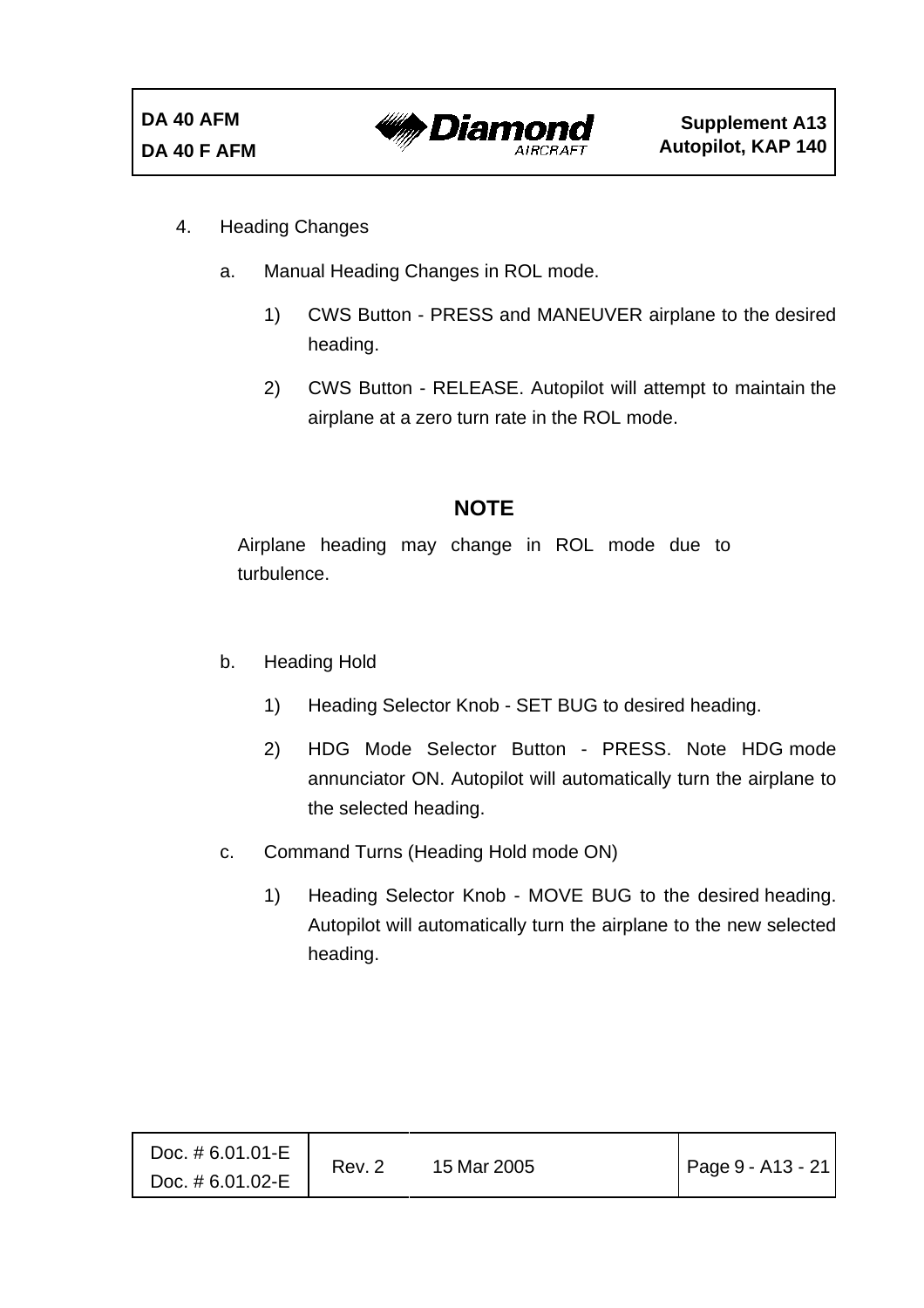

- 4. Heading Changes
	- a. Manual Heading Changes in ROL mode.
		- 1) CWS Button PRESS and MANEUVER airplane to the desired heading.
		- 2) CWS Button RELEASE. Autopilot will attempt to maintain the airplane at a zero turn rate in the ROL mode.

Airplane heading may change in ROL mode due to turbulence.

- b. Heading Hold
	- 1) Heading Selector Knob SET BUG to desired heading.
	- 2) HDG Mode Selector Button PRESS. Note HDG mode annunciator ON. Autopilot will automatically turn the airplane to the selected heading.
- c. Command Turns (Heading Hold mode ON)
	- 1) Heading Selector Knob MOVE BUG to the desired heading. Autopilot will automatically turn the airplane to the new selected heading.

| Doc. # 6.01.01-E |        |             |                   |
|------------------|--------|-------------|-------------------|
| Doc. # 6.01.02-E | Rev. 2 | 15 Mar 2005 | Page 9 - A13 - 21 |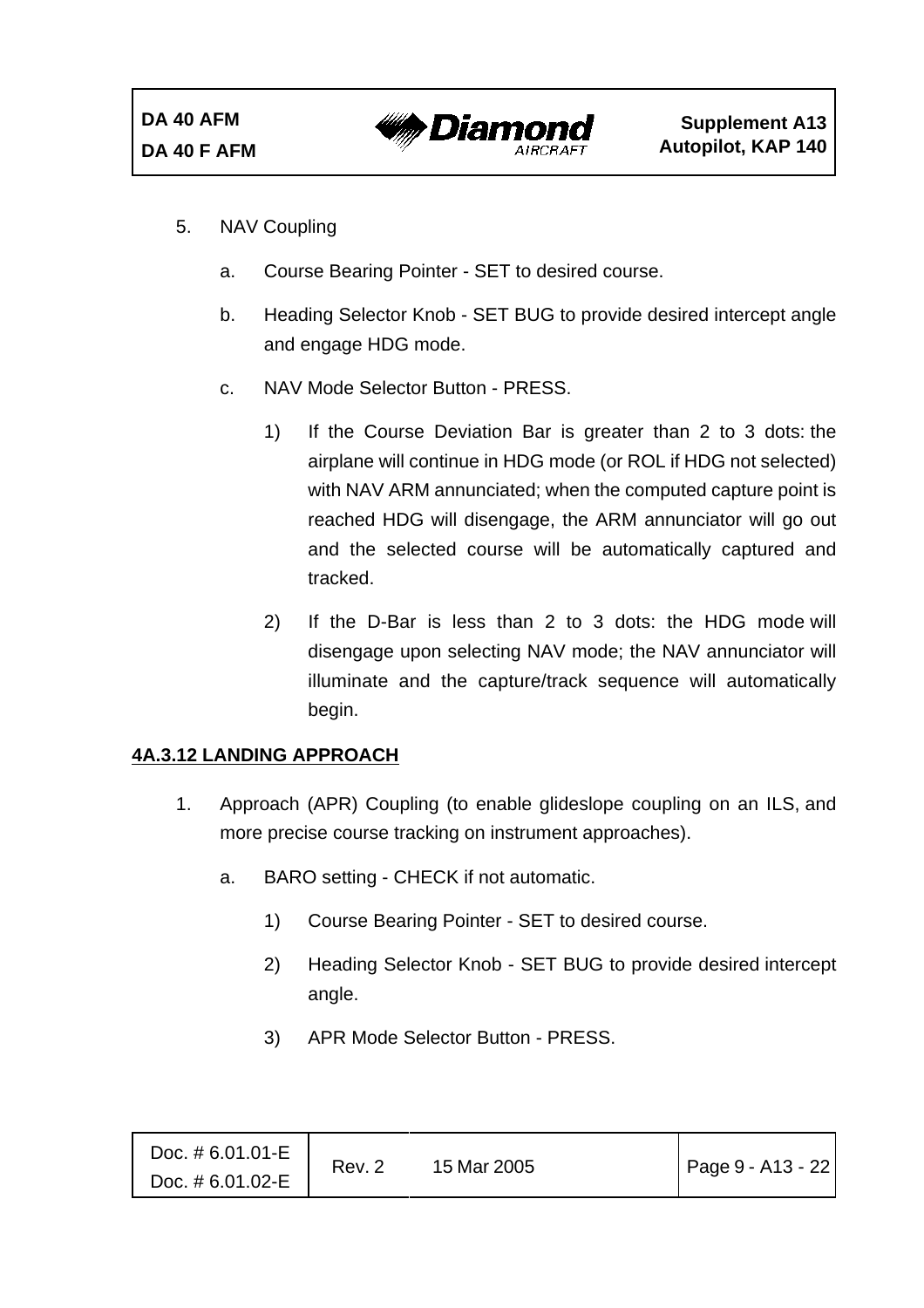

- 5. NAV Coupling
	- a. Course Bearing Pointer SET to desired course.
	- b. Heading Selector Knob SET BUG to provide desired intercept angle and engage HDG mode.
	- c. NAV Mode Selector Button PRESS.
		- 1) If the Course Deviation Bar is greater than 2 to 3 dots: the airplane will continue in HDG mode (or ROL if HDG not selected) with NAV ARM annunciated; when the computed capture point is reached HDG will disengage, the ARM annunciator will go out and the selected course will be automatically captured and tracked.
		- 2) If the D-Bar is less than 2 to 3 dots: the HDG mode will disengage upon selecting NAV mode; the NAV annunciator will illuminate and the capture/track sequence will automatically begin.

#### **4A.3.12 LANDING APPROACH**

- 1. Approach (APR) Coupling (to enable glideslope coupling on an ILS, and more precise course tracking on instrument approaches).
	- a. BARO setting CHECK if not automatic.
		- 1) Course Bearing Pointer SET to desired course.
		- 2) Heading Selector Knob SET BUG to provide desired intercept angle.
		- 3) APR Mode Selector Button PRESS.

| Doc. $\# 6.01.01 - E$ |        |             |                   |
|-----------------------|--------|-------------|-------------------|
| Doc. $\# 6.01.02 - E$ | Rev. 2 | 15 Mar 2005 | Page 9 - A13 - 22 |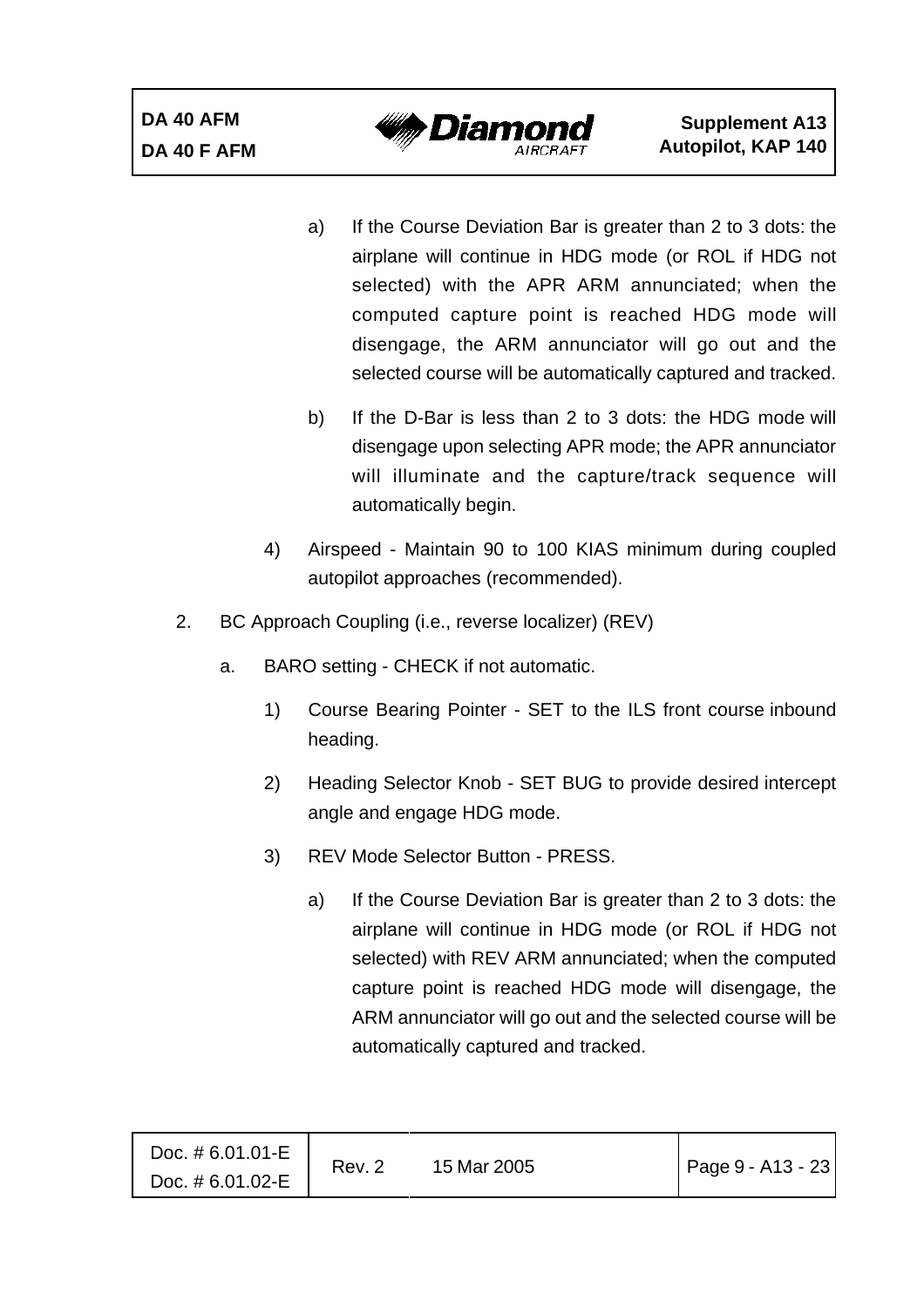

- a) If the Course Deviation Bar is greater than 2 to 3 dots: the airplane will continue in HDG mode (or ROL if HDG not selected) with the APR ARM annunciated; when the computed capture point is reached HDG mode will disengage, the ARM annunciator will go out and the selected course will be automatically captured and tracked.
- b) If the D-Bar is less than 2 to 3 dots: the HDG mode will disengage upon selecting APR mode; the APR annunciator will illuminate and the capture/track sequence will automatically begin.
- 4) Airspeed Maintain 90 to 100 KIAS minimum during coupled autopilot approaches (recommended).
- 2. BC Approach Coupling (i.e., reverse localizer) (REV)
	- a. BARO setting CHECK if not automatic.
		- 1) Course Bearing Pointer SET to the ILS front course inbound heading.
		- 2) Heading Selector Knob SET BUG to provide desired intercept angle and engage HDG mode.
		- 3) REV Mode Selector Button PRESS.
			- a) If the Course Deviation Bar is greater than 2 to 3 dots: the airplane will continue in HDG mode (or ROL if HDG not selected) with REV ARM annunciated; when the computed capture point is reached HDG mode will disengage, the ARM annunciator will go out and the selected course will be automatically captured and tracked.

| Doc. # 6.01.01-E |      |             |                   |
|------------------|------|-------------|-------------------|
| Doc. # 6.01.02-E | Rev. | 15 Mar 2005 | Page 9 - A13 - 23 |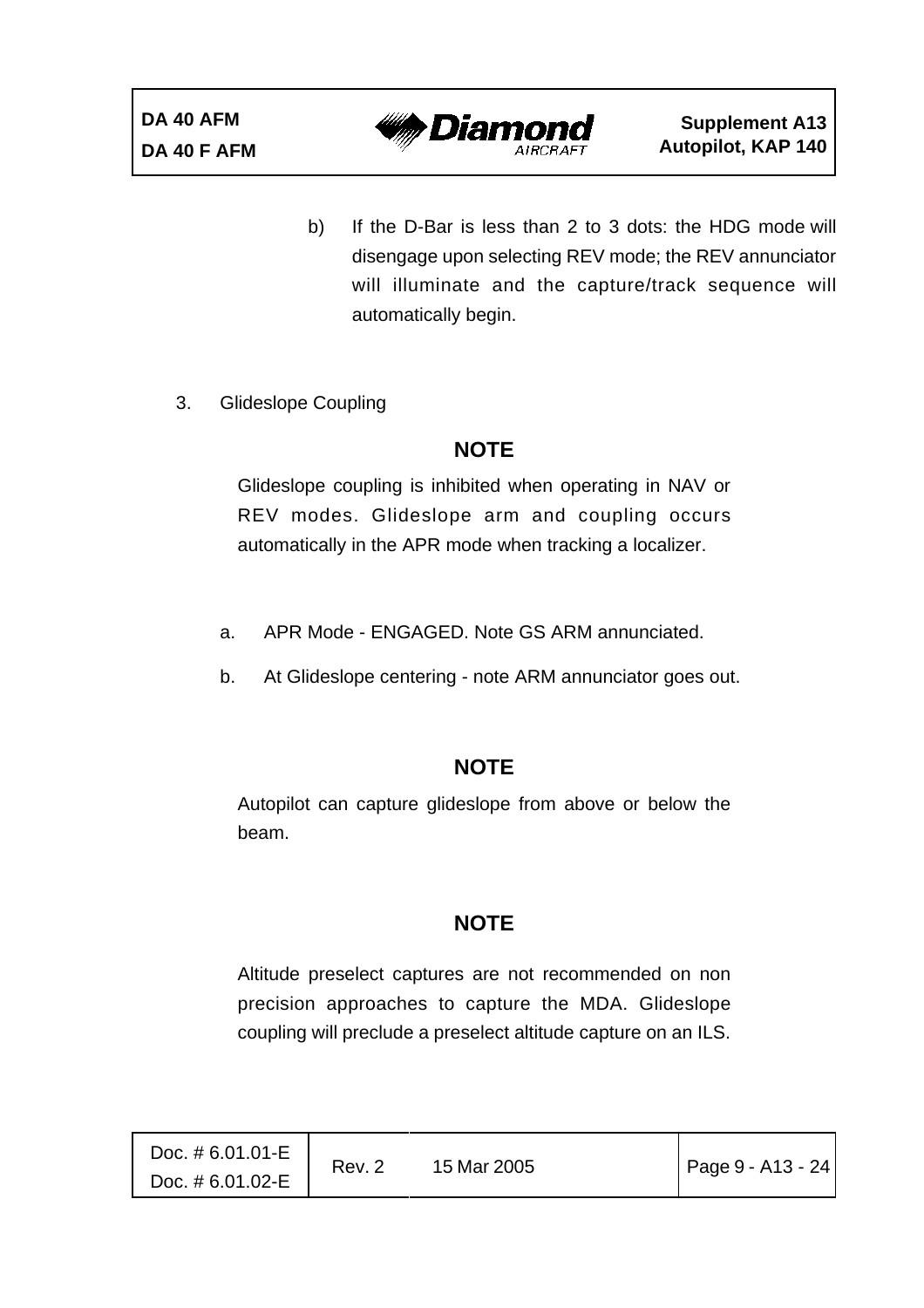

- b) If the D-Bar is less than 2 to 3 dots: the HDG mode will disengage upon selecting REV mode; the REV annunciator will illuminate and the capture/track sequence will automatically begin.
- 3. Glideslope Coupling

Glideslope coupling is inhibited when operating in NAV or REV modes. Glideslope arm and coupling occurs automatically in the APR mode when tracking a localizer.

- a. APR Mode ENGAGED. Note GS ARM annunciated.
- b. At Glideslope centering note ARM annunciator goes out.

#### **NOTE**

Autopilot can capture glideslope from above or below the beam.

#### **NOTE**

Altitude preselect captures are not recommended on non precision approaches to capture the MDA. Glideslope coupling will preclude a preselect altitude capture on an ILS.

| Doc. # 6.01.01-E |        |             |                   |
|------------------|--------|-------------|-------------------|
| Doc. # 6.01.02-E | Rev. 2 | 15 Mar 2005 | Page 9 - A13 - 24 |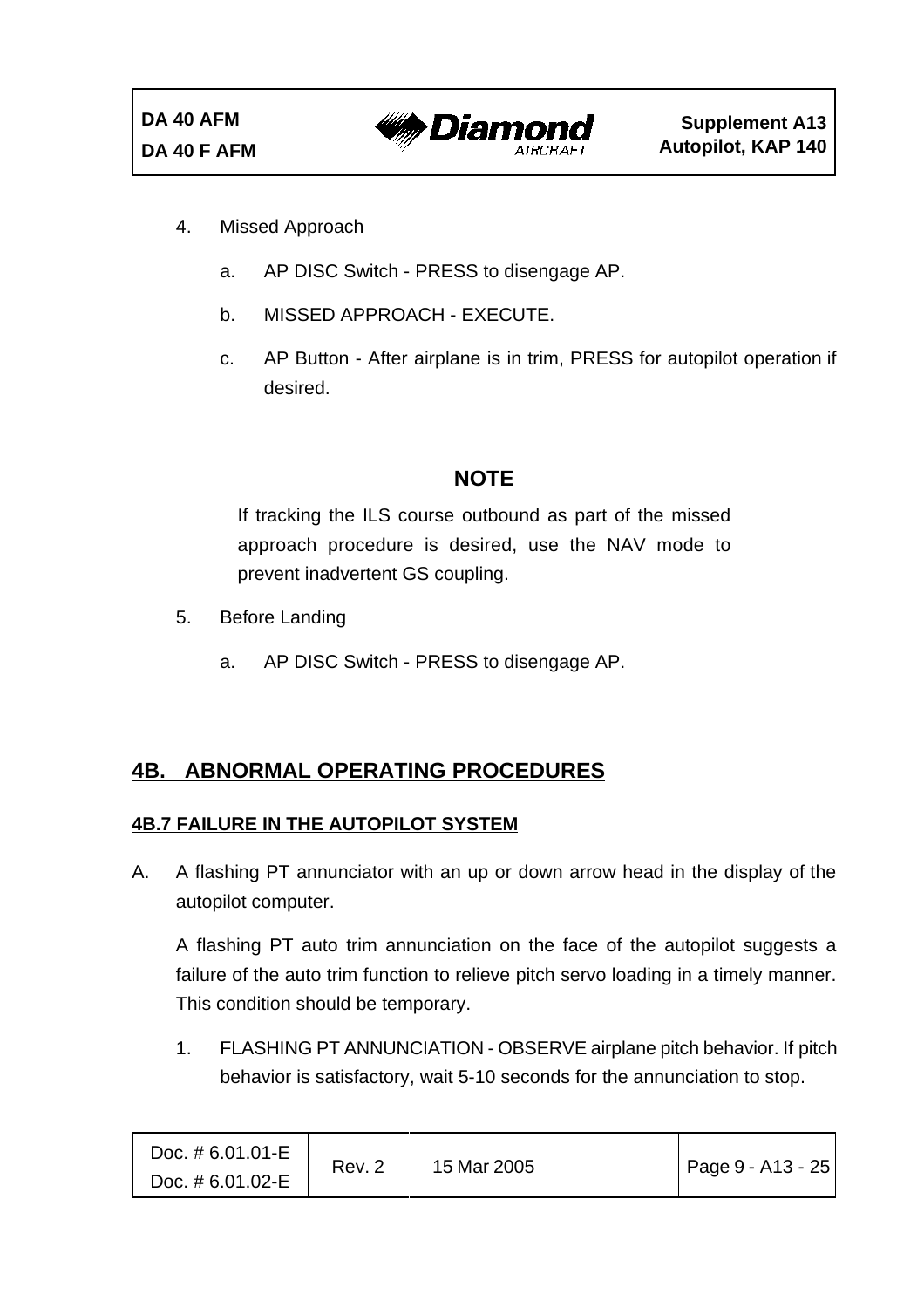

- 4. Missed Approach
	- a. AP DISC Switch PRESS to disengage AP.
	- b. MISSED APPROACH EXECUTE.
	- c. AP Button After airplane is in trim, PRESS for autopilot operation if desired.

If tracking the ILS course outbound as part of the missed approach procedure is desired, use the NAV mode to prevent inadvertent GS coupling.

- 5. Before Landing
	- a. AP DISC Switch PRESS to disengage AP.

## **4B. ABNORMAL OPERATING PROCEDURES**

#### **4B.7 FAILURE IN THE AUTOPILOT SYSTEM**

A. A flashing PT annunciator with an up or down arrow head in the display of the autopilot computer.

A flashing PT auto trim annunciation on the face of the autopilot suggests a failure of the auto trim function to relieve pitch servo loading in a timely manner. This condition should be temporary.

1. FLASHING PT ANNUNCIATION - OBSERVE airplane pitch behavior. If pitch behavior is satisfactory, wait 5-10 seconds for the annunciation to stop.

| Doc. $\#$ 6.01.01-E   |        |             |                   |
|-----------------------|--------|-------------|-------------------|
| Doc. $\# 6.01.02 - E$ | Rev. 2 | 15 Mar 2005 | Page 9 - A13 - 25 |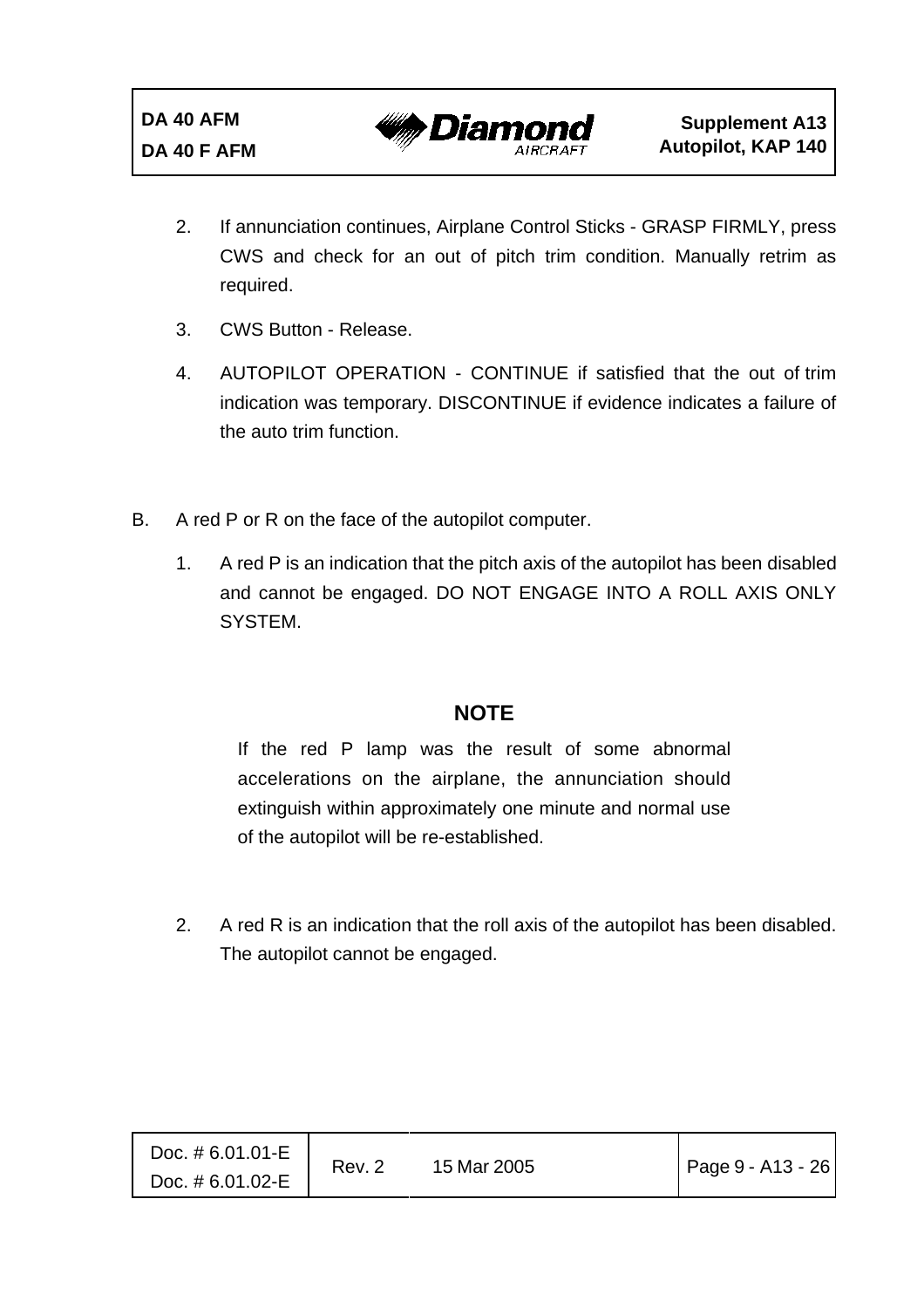

- 2. If annunciation continues, Airplane Control Sticks GRASP FIRMLY, press CWS and check for an out of pitch trim condition. Manually retrim as required.
- 3. CWS Button Release.
- 4. AUTOPILOT OPERATION CONTINUE if satisfied that the out of trim indication was temporary. DISCONTINUE if evidence indicates a failure of the auto trim function.
- B. A red P or R on the face of the autopilot computer.
	- 1. A red P is an indication that the pitch axis of the autopilot has been disabled and cannot be engaged. DO NOT ENGAGE INTO A ROLL AXIS ONLY SYSTEM.

If the red P lamp was the result of some abnormal accelerations on the airplane, the annunciation should extinguish within approximately one minute and normal use of the autopilot will be re-established.

2. A red R is an indication that the roll axis of the autopilot has been disabled. The autopilot cannot be engaged.

| Doc. $\# 6.01.01 - E$ | Rev. 2 |             |                   |
|-----------------------|--------|-------------|-------------------|
| Doc. # 6.01.02-E      |        | 15 Mar 2005 | Page 9 - A13 - 26 |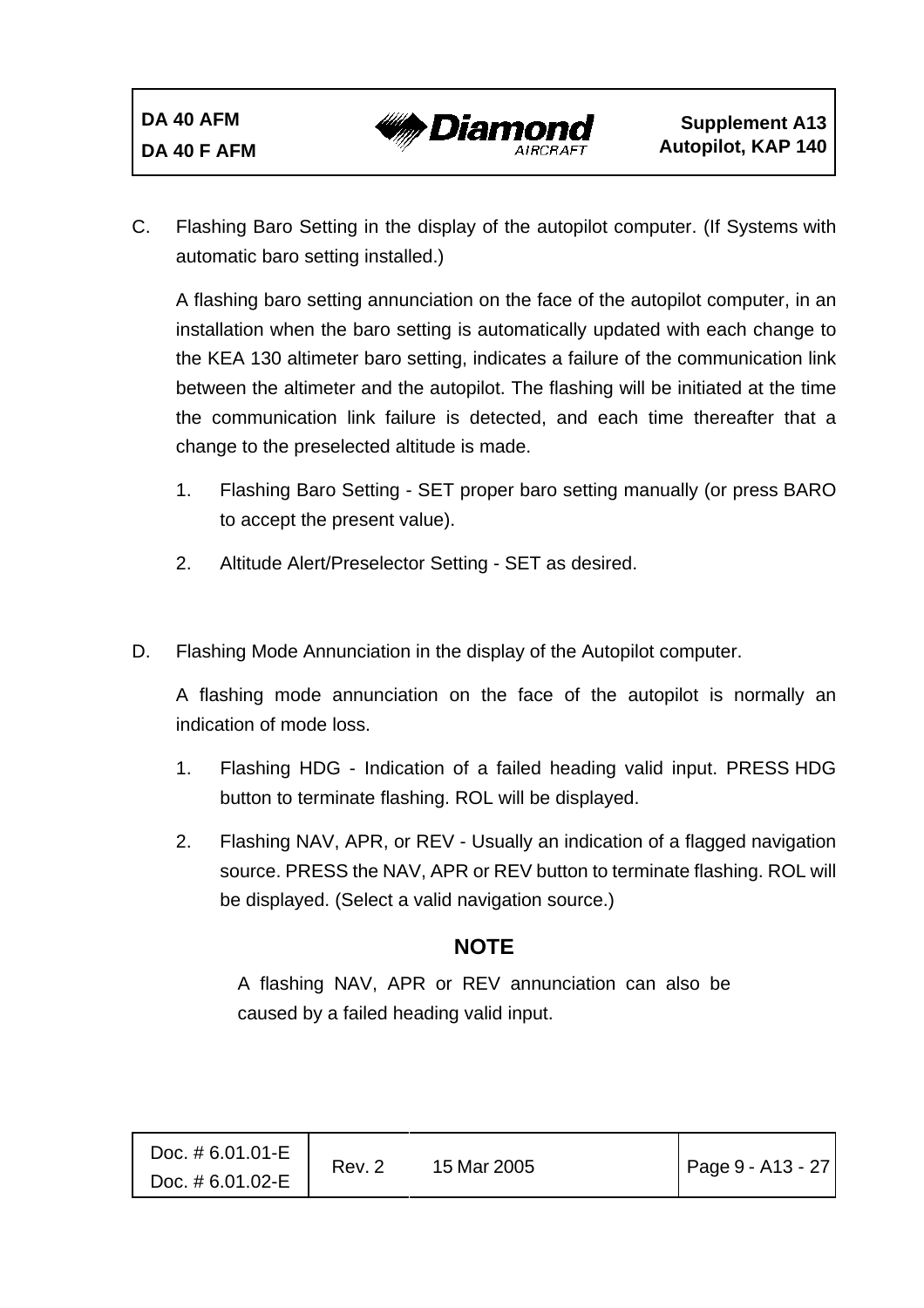

C. Flashing Baro Setting in the display of the autopilot computer. (If Systems with automatic baro setting installed.)

A flashing baro setting annunciation on the face of the autopilot computer, in an installation when the baro setting is automatically updated with each change to the KEA 130 altimeter baro setting, indicates a failure of the communication link between the altimeter and the autopilot. The flashing will be initiated at the time the communication link failure is detected, and each time thereafter that a change to the preselected altitude is made.

- 1. Flashing Baro Setting SET proper baro setting manually (or press BARO to accept the present value).
- 2. Altitude Alert/Preselector Setting SET as desired.
- D. Flashing Mode Annunciation in the display of the Autopilot computer.

A flashing mode annunciation on the face of the autopilot is normally an indication of mode loss.

- 1. Flashing HDG Indication of a failed heading valid input. PRESS HDG button to terminate flashing. ROL will be displayed.
- 2. Flashing NAV, APR, or REV Usually an indication of a flagged navigation source. PRESS the NAV, APR or REV button to terminate flashing. ROL will be displayed. (Select a valid navigation source.)

## **NOTE**

A flashing NAV, APR or REV annunciation can also be caused by a failed heading valid input.

| Doc. $\# 6.01.01 - E$ |        |             |                   |
|-----------------------|--------|-------------|-------------------|
| Doc. $\# 6.01.02 - E$ | Rev. 2 | 15 Mar 2005 | Page 9 - A13 - 27 |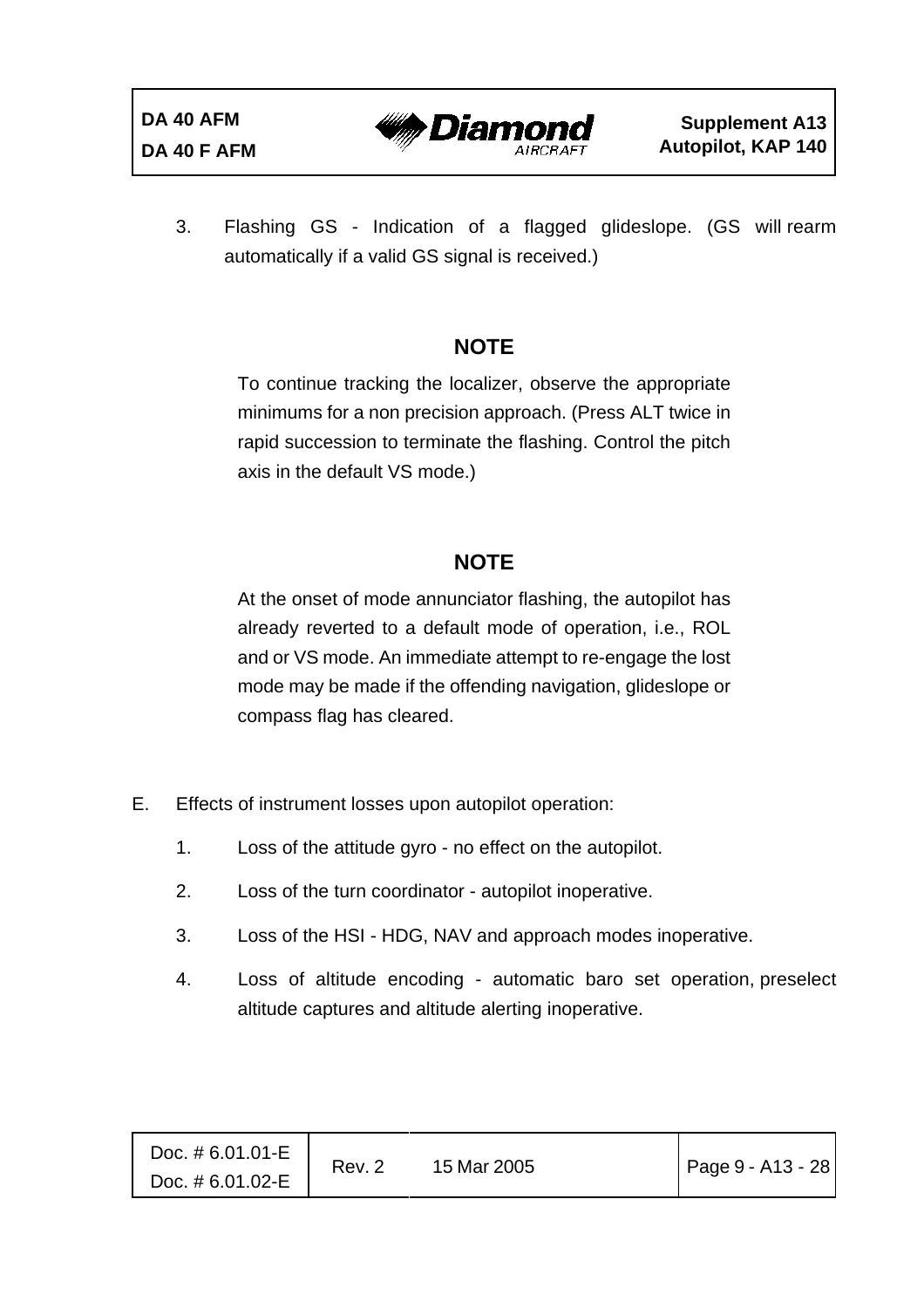

3. Flashing GS - Indication of a flagged glideslope. (GS will rearm automatically if a valid GS signal is received.)

## **NOTE**

To continue tracking the localizer, observe the appropriate minimums for a non precision approach. (Press ALT twice in rapid succession to terminate the flashing. Control the pitch axis in the default VS mode.)

# **NOTE**

At the onset of mode annunciator flashing, the autopilot has already reverted to a default mode of operation, i.e., ROL and or VS mode. An immediate attempt to re-engage the lost mode may be made if the offending navigation, glideslope or compass flag has cleared.

- E. Effects of instrument losses upon autopilot operation:
	- 1. Loss of the attitude gyro no effect on the autopilot.
	- 2. Loss of the turn coordinator autopilot inoperative.
	- 3. Loss of the HSI HDG, NAV and approach modes inoperative.
	- 4. Loss of altitude encoding automatic baro set operation, preselect altitude captures and altitude alerting inoperative.

| Doc. $\# 6.01.01 - E$ |        |             |                   |
|-----------------------|--------|-------------|-------------------|
| Doc. $\# 6.01.02 - E$ | Rev. 2 | 15 Mar 2005 | Page 9 - A13 - 28 |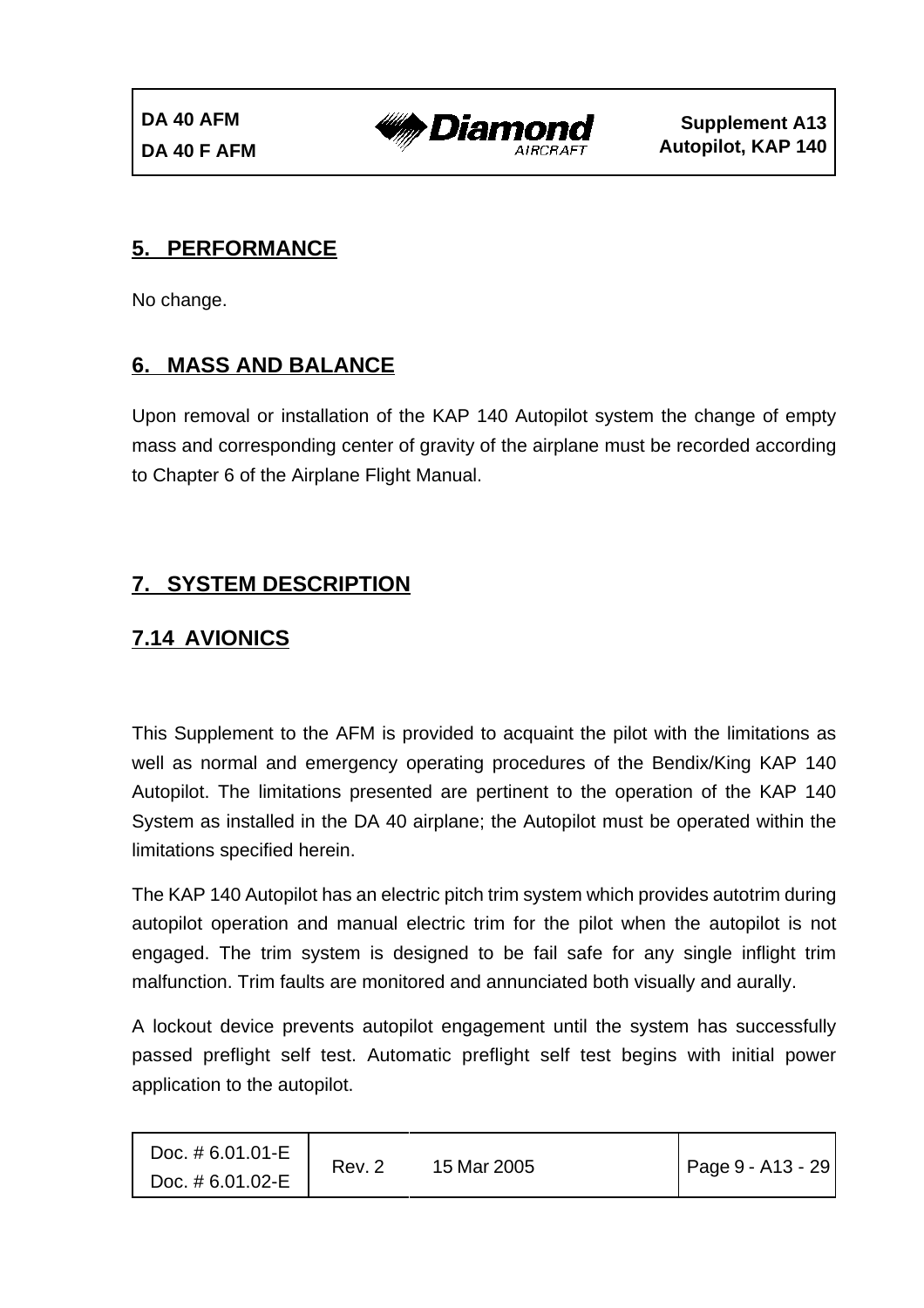

#### **5. PERFORMANCE**

No change.

# **6. MASS AND BALANCE**

Upon removal or installation of the KAP 140 Autopilot system the change of empty mass and corresponding center of gravity of the airplane must be recorded according to Chapter 6 of the Airplane Flight Manual.

# **7. SYSTEM DESCRIPTION**

# **7.14 AVIONICS**

This Supplement to the AFM is provided to acquaint the pilot with the limitations as well as normal and emergency operating procedures of the Bendix/King KAP 140 Autopilot. The limitations presented are pertinent to the operation of the KAP 140 System as installed in the DA 40 airplane; the Autopilot must be operated within the limitations specified herein.

The KAP 140 Autopilot has an electric pitch trim system which provides autotrim during autopilot operation and manual electric trim for the pilot when the autopilot is not engaged. The trim system is designed to be fail safe for any single inflight trim malfunction. Trim faults are monitored and annunciated both visually and aurally.

A lockout device prevents autopilot engagement until the system has successfully passed preflight self test. Automatic preflight self test begins with initial power application to the autopilot.

| Doc. $\# 6.01.01 - E$ |        |             |                           |
|-----------------------|--------|-------------|---------------------------|
| Doc. $\# 6.01.02 - E$ | Rev. ∠ | 15 Mar 2005 | $\vert$ Page 9 - A13 - 29 |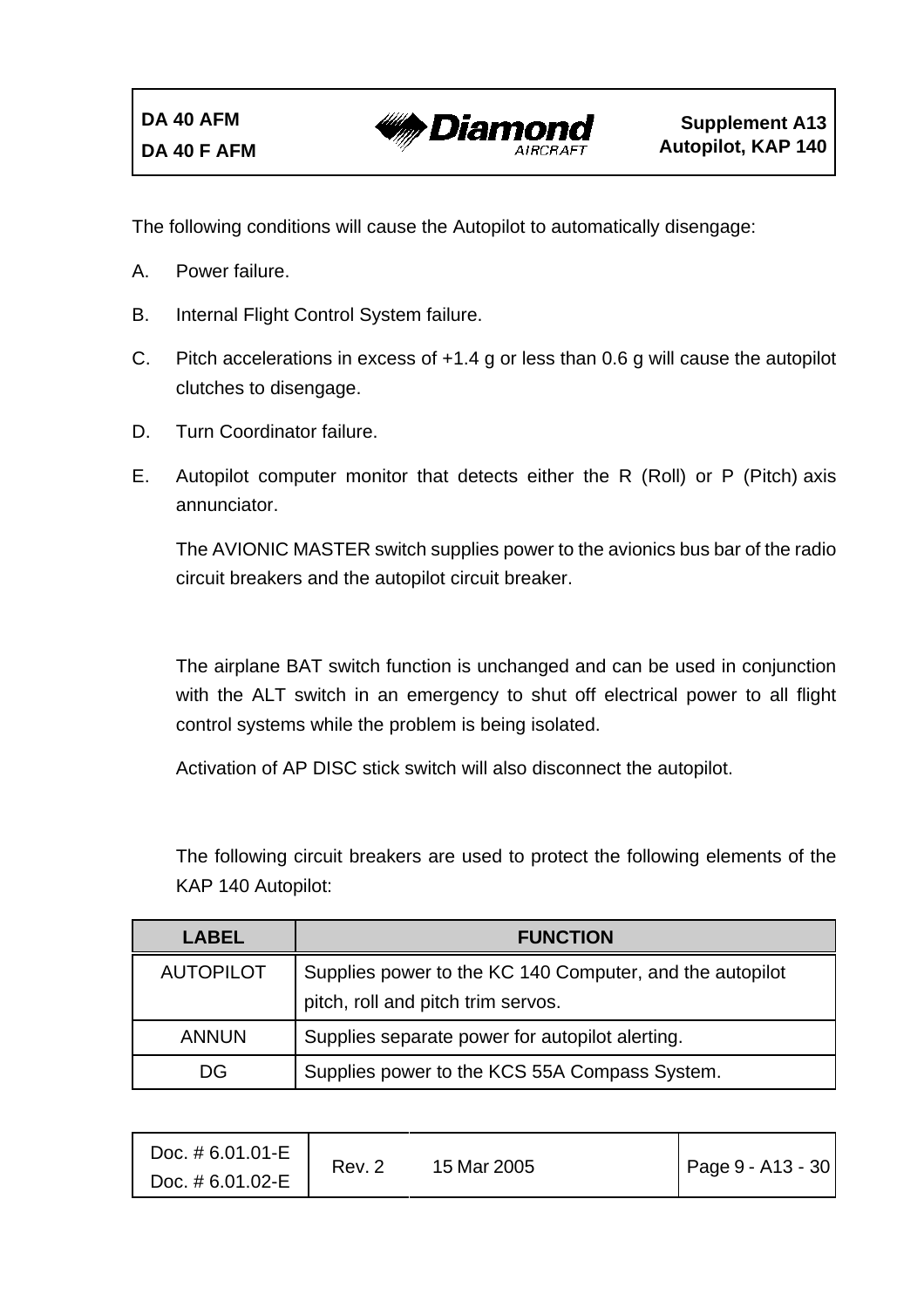

The following conditions will cause the Autopilot to automatically disengage:

- A. Power failure.
- B. Internal Flight Control System failure.
- C. Pitch accelerations in excess of +1.4 g or less than 0.6 g will cause the autopilot clutches to disengage.
- D. Turn Coordinator failure.
- E. Autopilot computer monitor that detects either the R (Roll) or P (Pitch) axis annunciator.

The AVIONIC MASTER switch supplies power to the avionics bus bar of the radio circuit breakers and the autopilot circuit breaker.

The airplane BAT switch function is unchanged and can be used in conjunction with the ALT switch in an emergency to shut off electrical power to all flight control systems while the problem is being isolated.

Activation of AP DISC stick switch will also disconnect the autopilot.

The following circuit breakers are used to protect the following elements of the KAP 140 Autopilot:

| <b>LABEL</b>     | <b>FUNCTION</b>                                                                                |
|------------------|------------------------------------------------------------------------------------------------|
| <b>AUTOPILOT</b> | Supplies power to the KC 140 Computer, and the autopilot<br>pitch, roll and pitch trim servos. |
| <b>ANNUN</b>     | Supplies separate power for autopilot alerting.                                                |
| DG               | Supplies power to the KCS 55A Compass System.                                                  |

| Doc. $\# 6.01.01 - E$ |        |             |                   |
|-----------------------|--------|-------------|-------------------|
| Doc. $\# 6.01.02 - E$ | Rev. 2 | 15 Mar 2005 | Page 9 - A13 - 30 |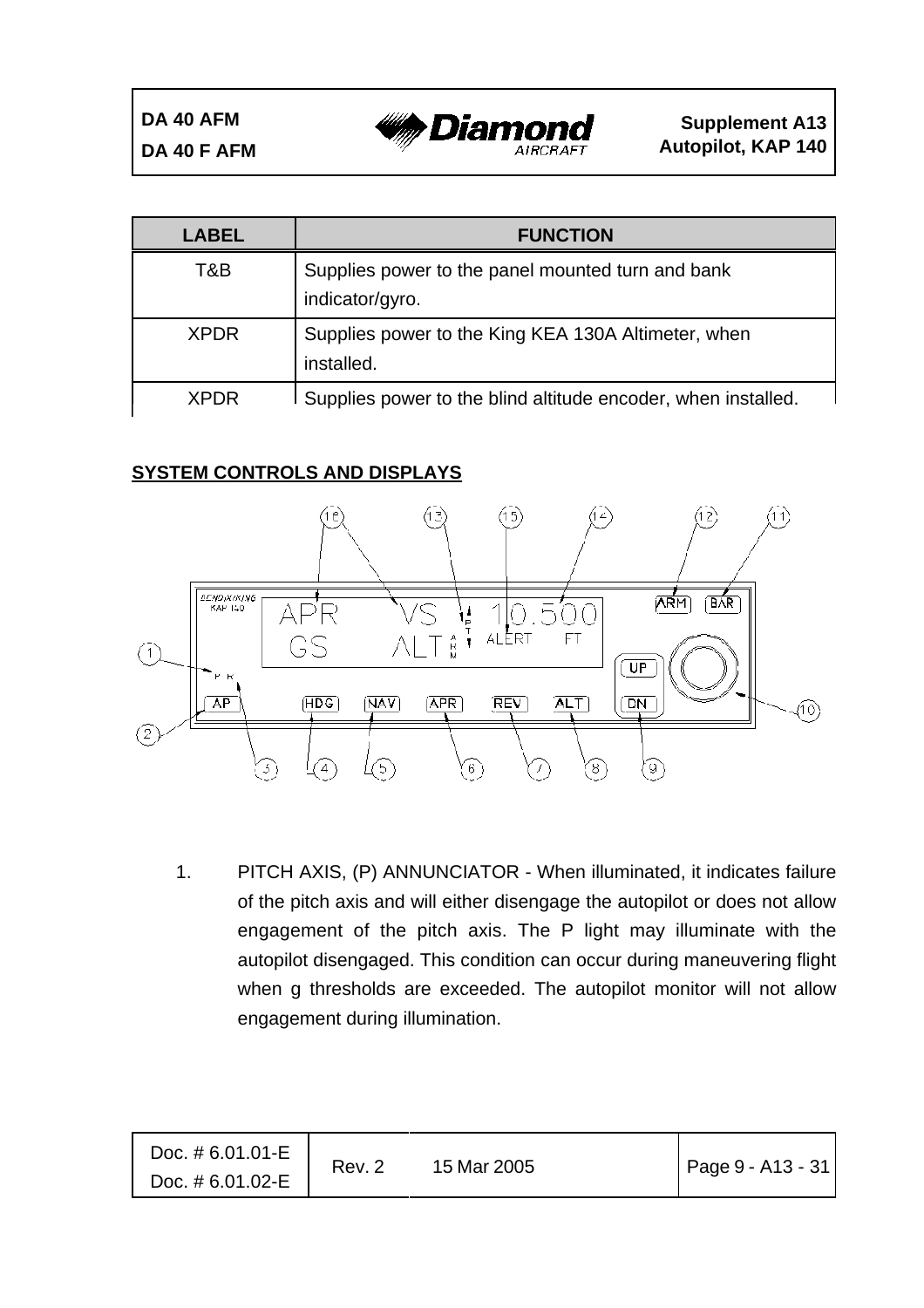

| LABEL       | <b>FUNCTION</b>                                                      |
|-------------|----------------------------------------------------------------------|
| T&B         | Supplies power to the panel mounted turn and bank<br>indicator/gyro. |
| <b>XPDR</b> | Supplies power to the King KEA 130A Altimeter, when<br>installed.    |
| <b>XPDR</b> | Supplies power to the blind altitude encoder, when installed.        |

#### **SYSTEM CONTROLS AND DISPLAYS**



1. PITCH AXIS, (P) ANNUNCIATOR - When illuminated, it indicates failure of the pitch axis and will either disengage the autopilot or does not allow engagement of the pitch axis. The P light may illuminate with the autopilot disengaged. This condition can occur during maneuvering flight when g thresholds are exceeded. The autopilot monitor will not allow engagement during illumination.

| Doc. $\# 6.01.01 - E$ |        |             |                   |
|-----------------------|--------|-------------|-------------------|
| Doc. # 6.01.02-E      | Rev. 2 | 15 Mar 2005 | Page 9 - A13 - 31 |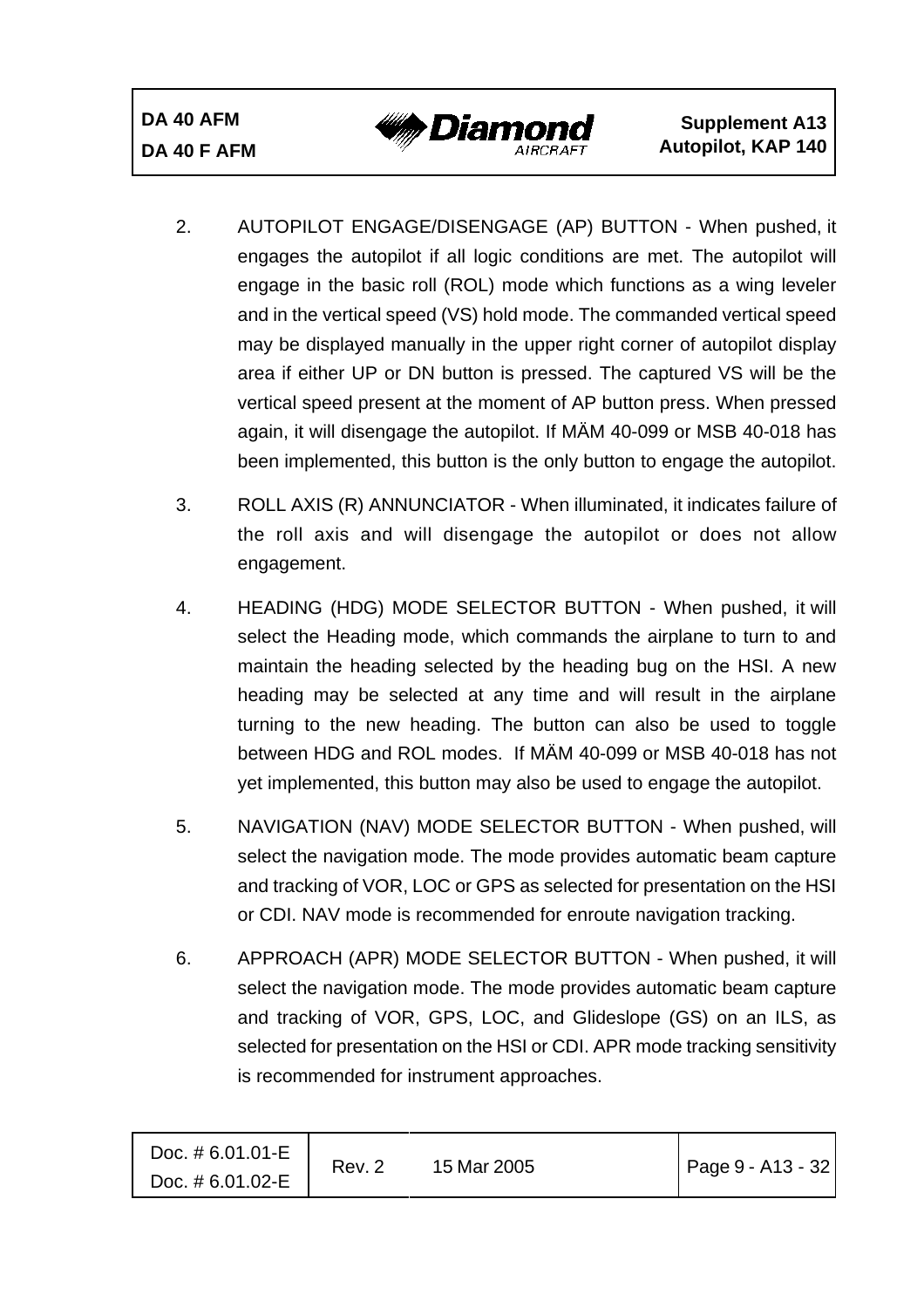

- 2. AUTOPILOT ENGAGE/DISENGAGE (AP) BUTTON When pushed, it engages the autopilot if all logic conditions are met. The autopilot will engage in the basic roll (ROL) mode which functions as a wing leveler and in the vertical speed (VS) hold mode. The commanded vertical speed may be displayed manually in the upper right corner of autopilot display area if either UP or DN button is pressed. The captured VS will be the vertical speed present at the moment of AP button press. When pressed again, it will disengage the autopilot. If MÄM 40-099 or MSB 40-018 has been implemented, this button is the only button to engage the autopilot.
- 3. ROLL AXIS (R) ANNUNCIATOR When illuminated, it indicates failure of the roll axis and will disengage the autopilot or does not allow engagement.
- 4. HEADING (HDG) MODE SELECTOR BUTTON When pushed, it will select the Heading mode, which commands the airplane to turn to and maintain the heading selected by the heading bug on the HSI. A new heading may be selected at any time and will result in the airplane turning to the new heading. The button can also be used to toggle between HDG and ROL modes. If MÄM 40-099 or MSB 40-018 has not yet implemented, this button may also be used to engage the autopilot.
- 5. NAVIGATION (NAV) MODE SELECTOR BUTTON When pushed, will select the navigation mode. The mode provides automatic beam capture and tracking of VOR, LOC or GPS as selected for presentation on the HSI or CDI. NAV mode is recommended for enroute navigation tracking.
- 6. APPROACH (APR) MODE SELECTOR BUTTON When pushed, it will select the navigation mode. The mode provides automatic beam capture and tracking of VOR, GPS, LOC, and Glideslope (GS) on an ILS, as selected for presentation on the HSI or CDI. APR mode tracking sensitivity is recommended for instrument approaches.

| Doc. $\# 6.01.01 - E$ |        |             |                     |
|-----------------------|--------|-------------|---------------------|
| Doc. #6.01.02-E       | Rev. 2 | 15 Mar 2005 | I Page 9 - A13 - 32 |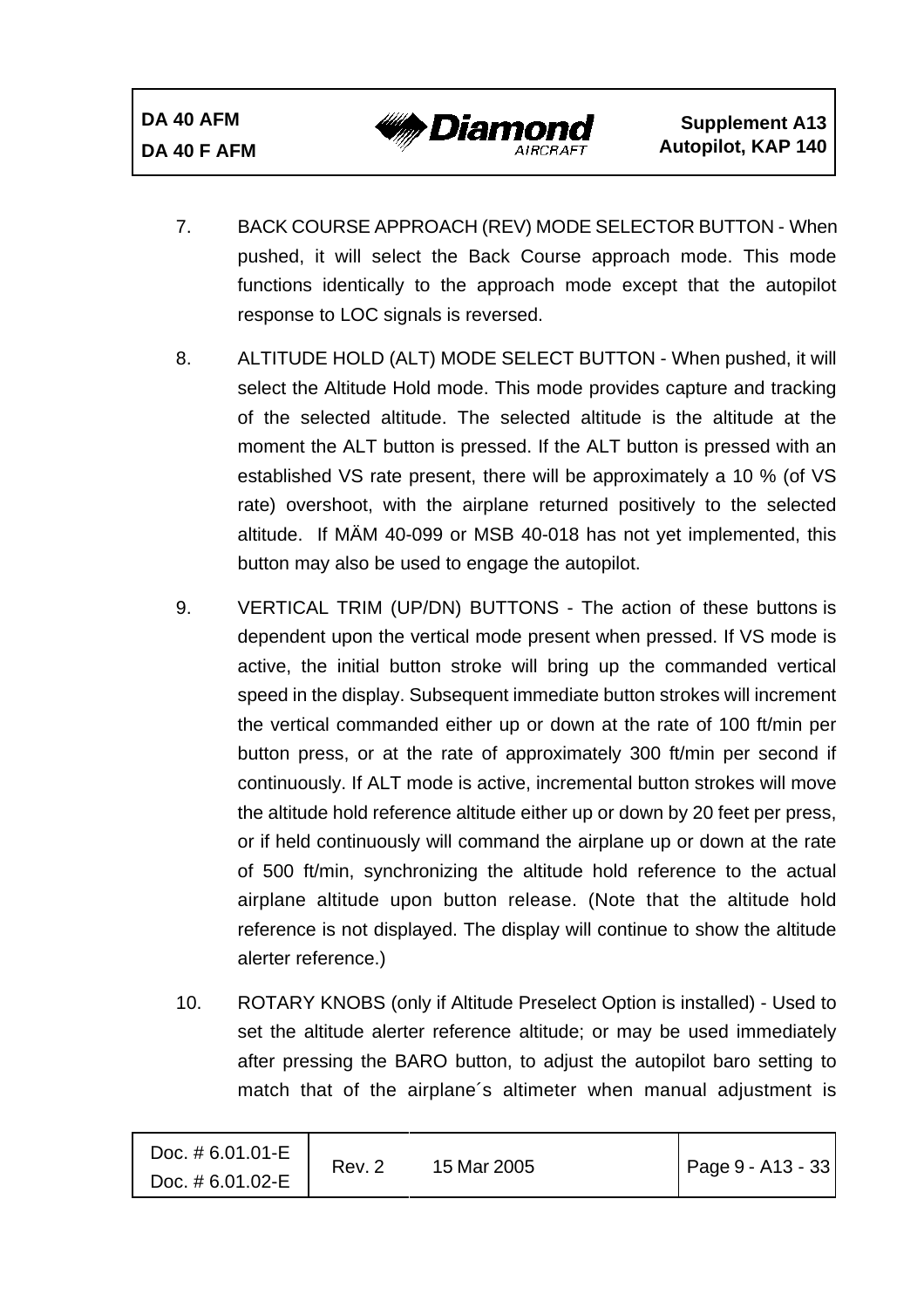

- 7. BACK COURSE APPROACH (REV) MODE SELECTOR BUTTON When pushed, it will select the Back Course approach mode. This mode functions identically to the approach mode except that the autopilot response to LOC signals is reversed.
- 8. ALTITUDE HOLD (ALT) MODE SELECT BUTTON When pushed, it will select the Altitude Hold mode. This mode provides capture and tracking of the selected altitude. The selected altitude is the altitude at the moment the ALT button is pressed. If the ALT button is pressed with an established VS rate present, there will be approximately a 10 % (of VS rate) overshoot, with the airplane returned positively to the selected altitude. If MÄM 40-099 or MSB 40-018 has not yet implemented, this button may also be used to engage the autopilot.
- 9. VERTICAL TRIM (UP/DN) BUTTONS The action of these buttons is dependent upon the vertical mode present when pressed. If VS mode is active, the initial button stroke will bring up the commanded vertical speed in the display. Subsequent immediate button strokes will increment the vertical commanded either up or down at the rate of 100 ft/min per button press, or at the rate of approximately 300 ft/min per second if continuously. If ALT mode is active, incremental button strokes will move the altitude hold reference altitude either up or down by 20 feet per press, or if held continuously will command the airplane up or down at the rate of 500 ft/min, synchronizing the altitude hold reference to the actual airplane altitude upon button release. (Note that the altitude hold reference is not displayed. The display will continue to show the altitude alerter reference.)
- 10. ROTARY KNOBS (only if Altitude Preselect Option is installed) Used to set the altitude alerter reference altitude; or may be used immediately after pressing the BARO button, to adjust the autopilot baro setting to match that of the airplane´s altimeter when manual adjustment is

| Doc. # 6.01.01-E | Rev. 2 |             |                   |
|------------------|--------|-------------|-------------------|
| Doc. #6.01.02-E  |        | 15 Mar 2005 | Page 9 - A13 - 33 |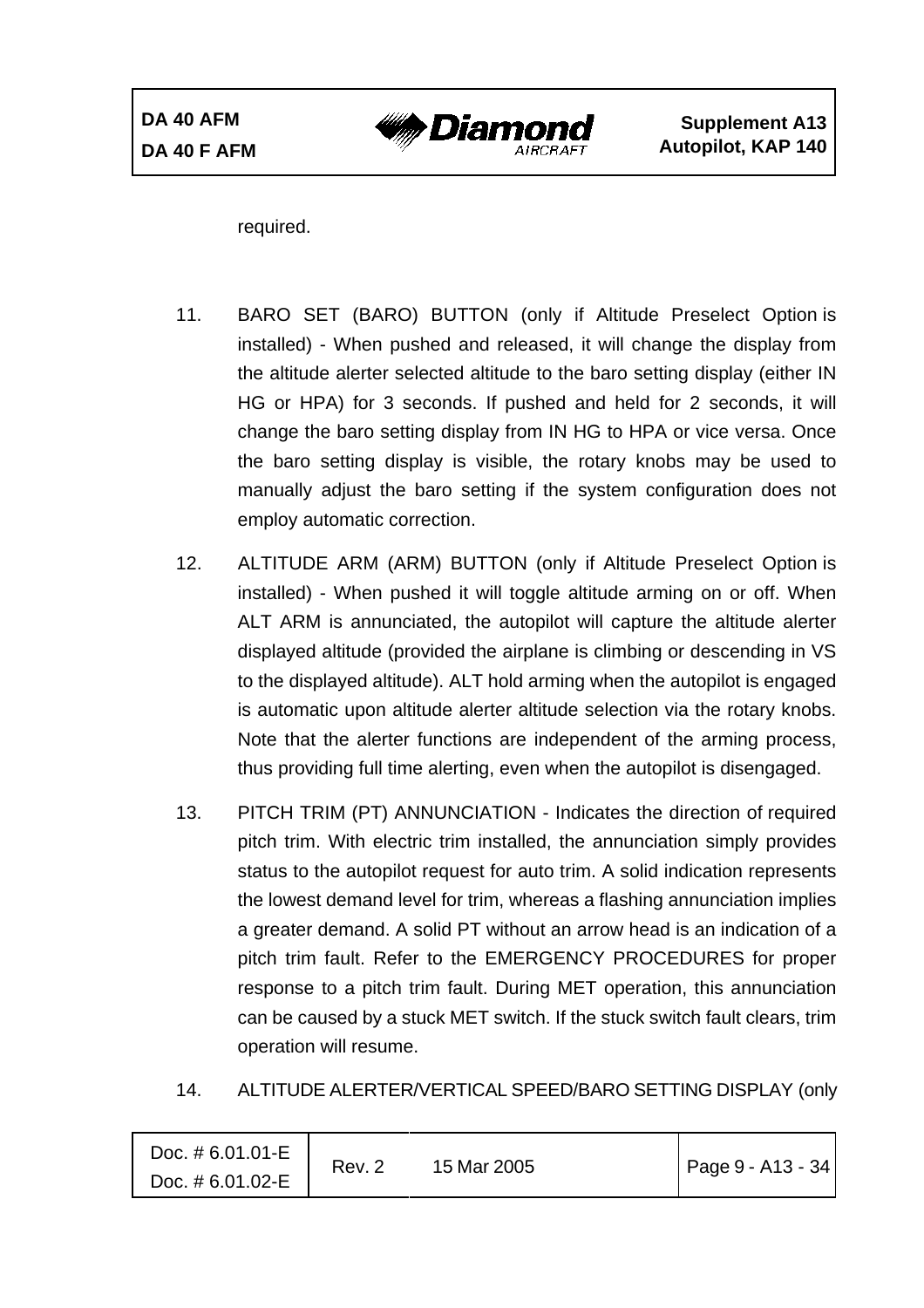

**Supplement A13 Autopilot, KAP 140**

required.

- 11. BARO SET (BARO) BUTTON (only if Altitude Preselect Option is installed) - When pushed and released, it will change the display from the altitude alerter selected altitude to the baro setting display (either IN HG or HPA) for 3 seconds. If pushed and held for 2 seconds, it will change the baro setting display from IN HG to HPA or vice versa. Once the baro setting display is visible, the rotary knobs may be used to manually adjust the baro setting if the system configuration does not employ automatic correction.
- 12. ALTITUDE ARM (ARM) BUTTON (only if Altitude Preselect Option is installed) - When pushed it will toggle altitude arming on or off. When ALT ARM is annunciated, the autopilot will capture the altitude alerter displayed altitude (provided the airplane is climbing or descending in VS to the displayed altitude). ALT hold arming when the autopilot is engaged is automatic upon altitude alerter altitude selection via the rotary knobs. Note that the alerter functions are independent of the arming process, thus providing full time alerting, even when the autopilot is disengaged.
- 13. PITCH TRIM (PT) ANNUNCIATION Indicates the direction of required pitch trim. With electric trim installed, the annunciation simply provides status to the autopilot request for auto trim. A solid indication represents the lowest demand level for trim, whereas a flashing annunciation implies a greater demand. A solid PT without an arrow head is an indication of a pitch trim fault. Refer to the EMERGENCY PROCEDURES for proper response to a pitch trim fault. During MET operation, this annunciation can be caused by a stuck MET switch. If the stuck switch fault clears, trim operation will resume.
- 14. ALTITUDE ALERTER/VERTICAL SPEED/BARO SETTING DISPLAY (only

| Doc. $\# 6.01.01 - E$ |        |             |                   |
|-----------------------|--------|-------------|-------------------|
| Doc. $\# 6.01.02 - E$ | Rev. 2 | 15 Mar 2005 | Page 9 - A13 - 34 |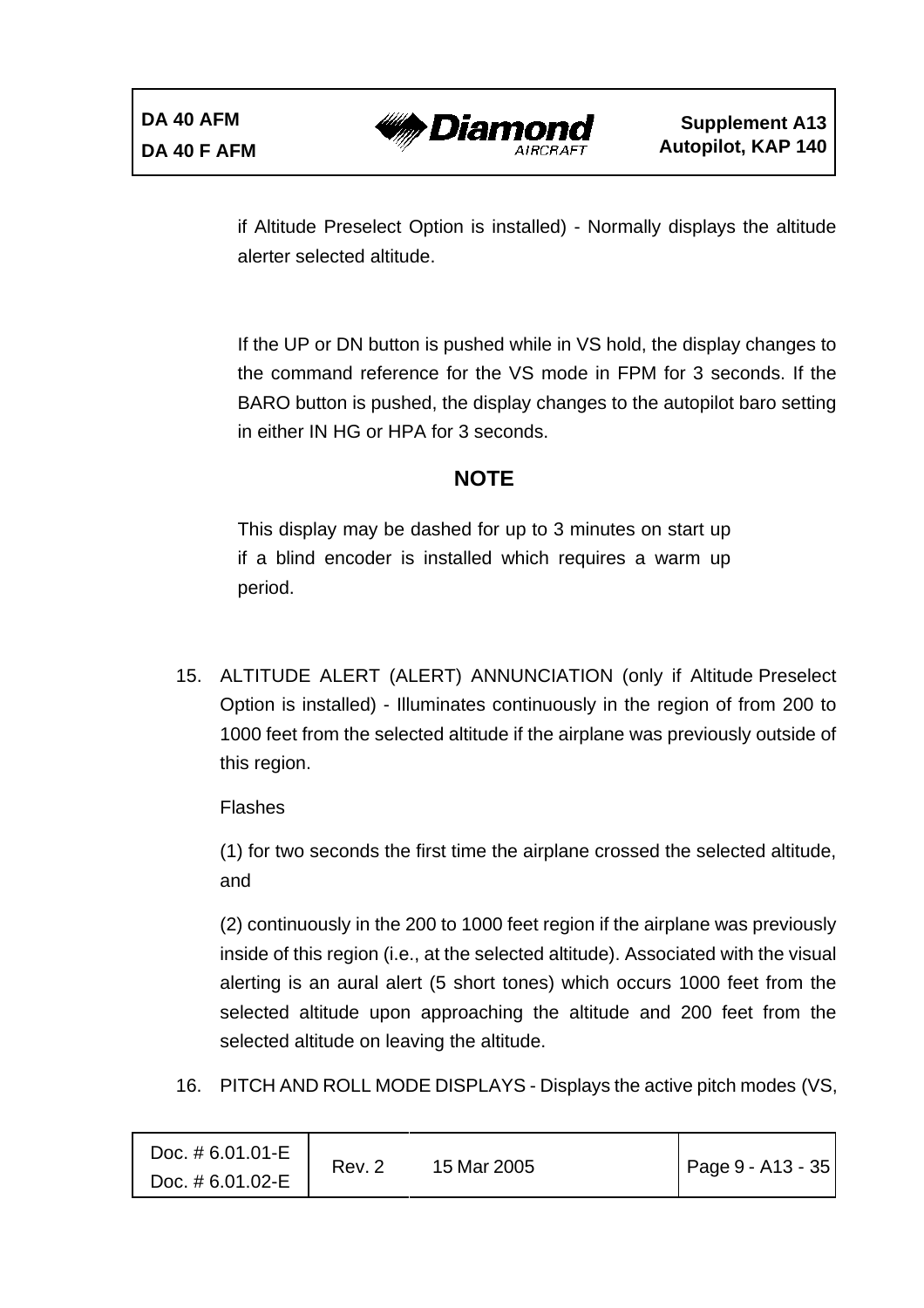

if Altitude Preselect Option is installed) - Normally displays the altitude alerter selected altitude.

If the UP or DN button is pushed while in VS hold, the display changes to the command reference for the VS mode in FPM for 3 seconds. If the BARO button is pushed, the display changes to the autopilot baro setting in either IN HG or HPA for 3 seconds.

#### **NOTE**

This display may be dashed for up to 3 minutes on start up if a blind encoder is installed which requires a warm up period.

15. ALTITUDE ALERT (ALERT) ANNUNCIATION (only if Altitude Preselect Option is installed) - Illuminates continuously in the region of from 200 to 1000 feet from the selected altitude if the airplane was previously outside of this region.

Flashes

(1) for two seconds the first time the airplane crossed the selected altitude, and

(2) continuously in the 200 to 1000 feet region if the airplane was previously inside of this region (i.e., at the selected altitude). Associated with the visual alerting is an aural alert (5 short tones) which occurs 1000 feet from the selected altitude upon approaching the altitude and 200 feet from the selected altitude on leaving the altitude.

16. PITCH AND ROLL MODE DISPLAYS - Displays the active pitch modes (VS,

| Doc. $\# 6.01.01 - E$<br>Page 9 - A13 - 35<br>Rev. 2<br>15 Mar 2005<br>Doc. # 6.01.02-E |
|-----------------------------------------------------------------------------------------|
|-----------------------------------------------------------------------------------------|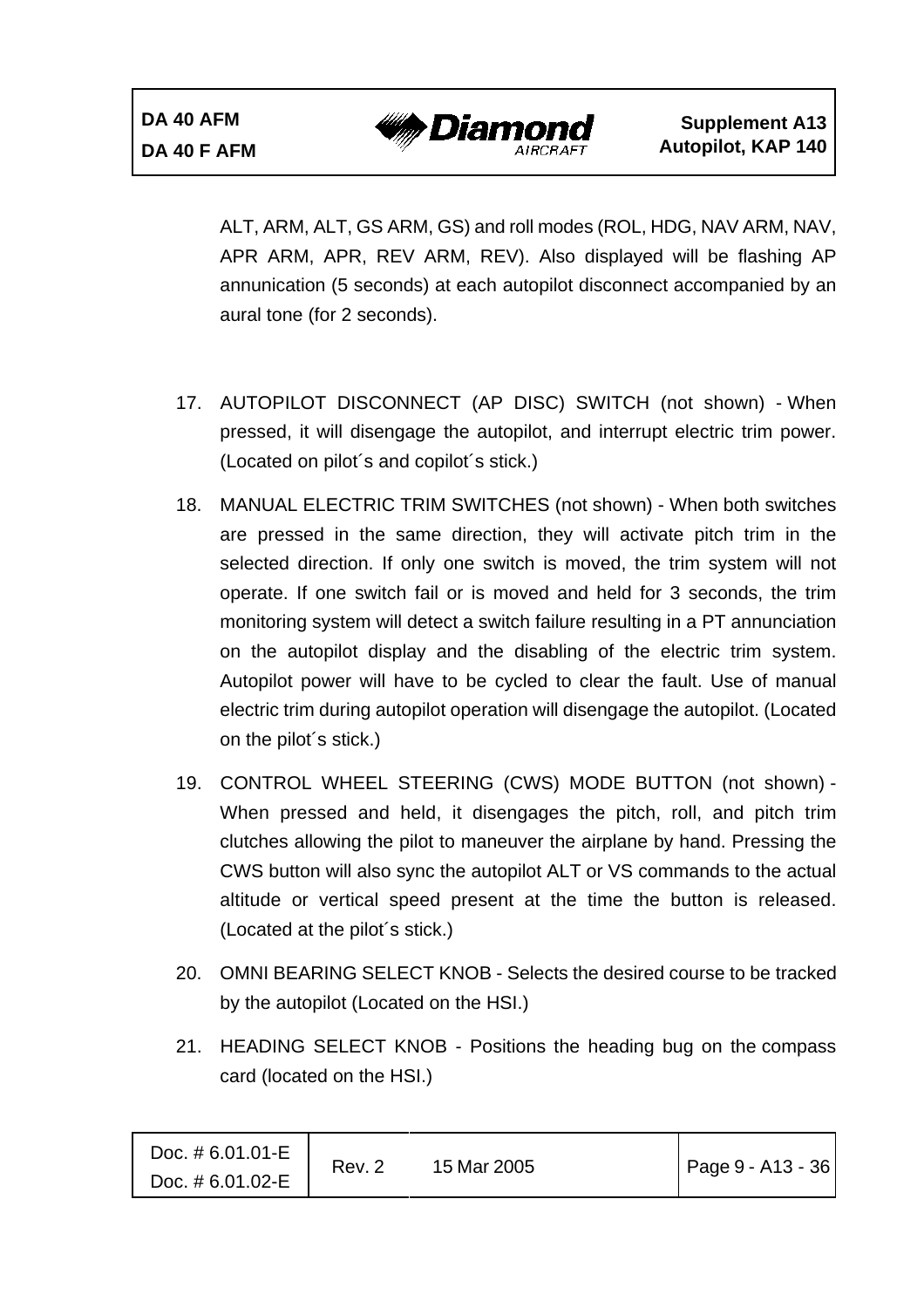

ALT, ARM, ALT, GS ARM, GS) and roll modes (ROL, HDG, NAV ARM, NAV, APR ARM, APR, REV ARM, REV). Also displayed will be flashing AP annunication (5 seconds) at each autopilot disconnect accompanied by an aural tone (for 2 seconds).

- 17. AUTOPILOT DISCONNECT (AP DISC) SWITCH (not shown) When pressed, it will disengage the autopilot, and interrupt electric trim power. (Located on pilot´s and copilot´s stick.)
- 18. MANUAL ELECTRIC TRIM SWITCHES (not shown) When both switches are pressed in the same direction, they will activate pitch trim in the selected direction. If only one switch is moved, the trim system will not operate. If one switch fail or is moved and held for 3 seconds, the trim monitoring system will detect a switch failure resulting in a PT annunciation on the autopilot display and the disabling of the electric trim system. Autopilot power will have to be cycled to clear the fault. Use of manual electric trim during autopilot operation will disengage the autopilot. (Located on the pilot´s stick.)
- 19. CONTROL WHEEL STEERING (CWS) MODE BUTTON (not shown) When pressed and held, it disengages the pitch, roll, and pitch trim clutches allowing the pilot to maneuver the airplane by hand. Pressing the CWS button will also sync the autopilot ALT or VS commands to the actual altitude or vertical speed present at the time the button is released. (Located at the pilot´s stick.)
- 20. OMNI BEARING SELECT KNOB Selects the desired course to be tracked by the autopilot (Located on the HSI.)
- 21. HEADING SELECT KNOB Positions the heading bug on the compass card (located on the HSI.)

| Doc. $\# 6.01.01 - E$ | Rev. 2 |             |                           |
|-----------------------|--------|-------------|---------------------------|
| Doc. # 6.01.02-E      |        | 15 Mar 2005 | $\vert$ Page 9 - A13 - 36 |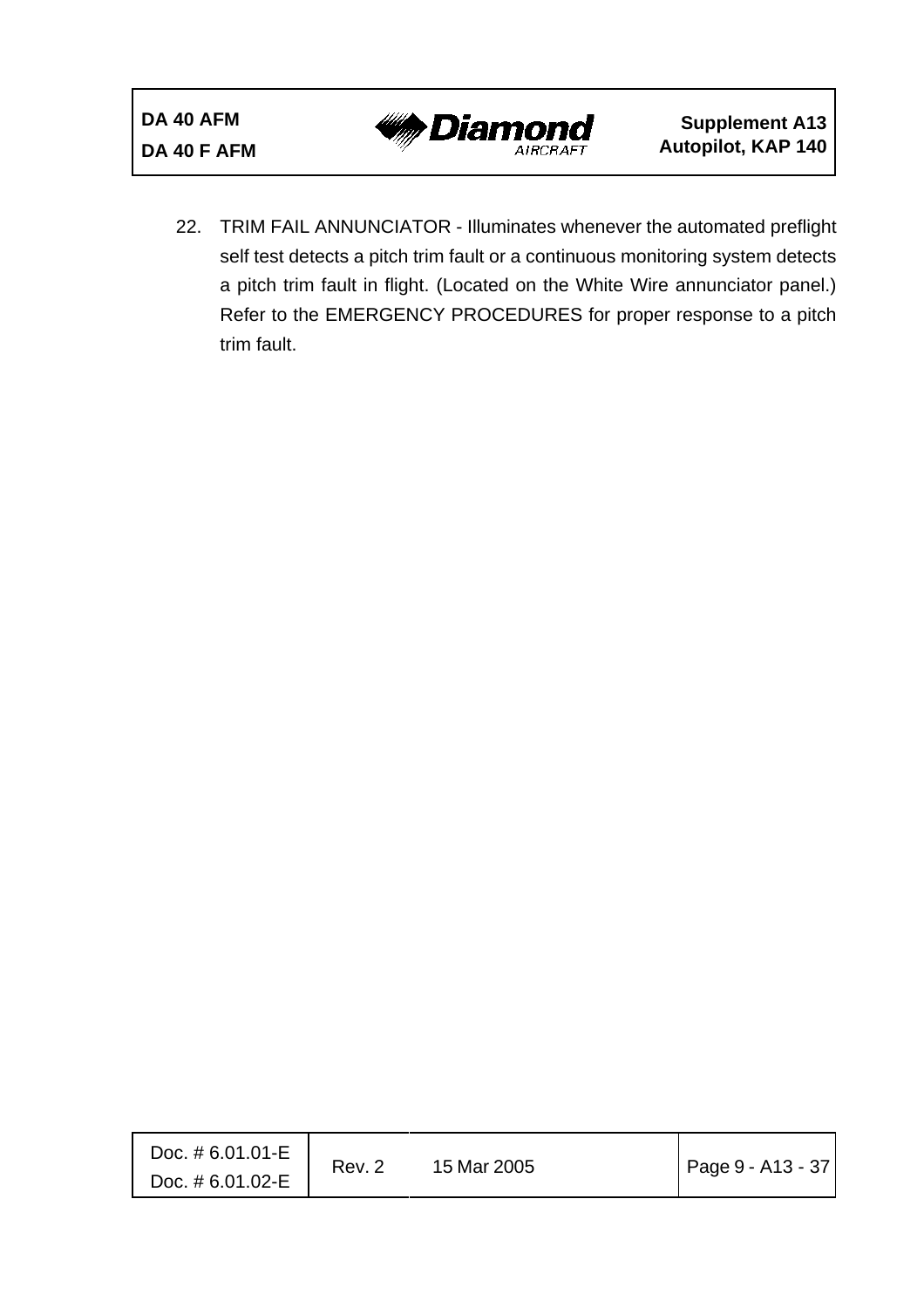

**Supplement A13 Autopilot, KAP 140**

22. TRIM FAIL ANNUNCIATOR - Illuminates whenever the automated preflight self test detects a pitch trim fault or a continuous monitoring system detects a pitch trim fault in flight. (Located on the White Wire annunciator panel.) Refer to the EMERGENCY PROCEDURES for proper response to a pitch trim fault.

| Doc. $\# 6.01.01 - E$ |        |             |                   |
|-----------------------|--------|-------------|-------------------|
| Doc. # 6.01.02-E      | Rev. 2 | 15 Mar 2005 | Page 9 - A13 - 37 |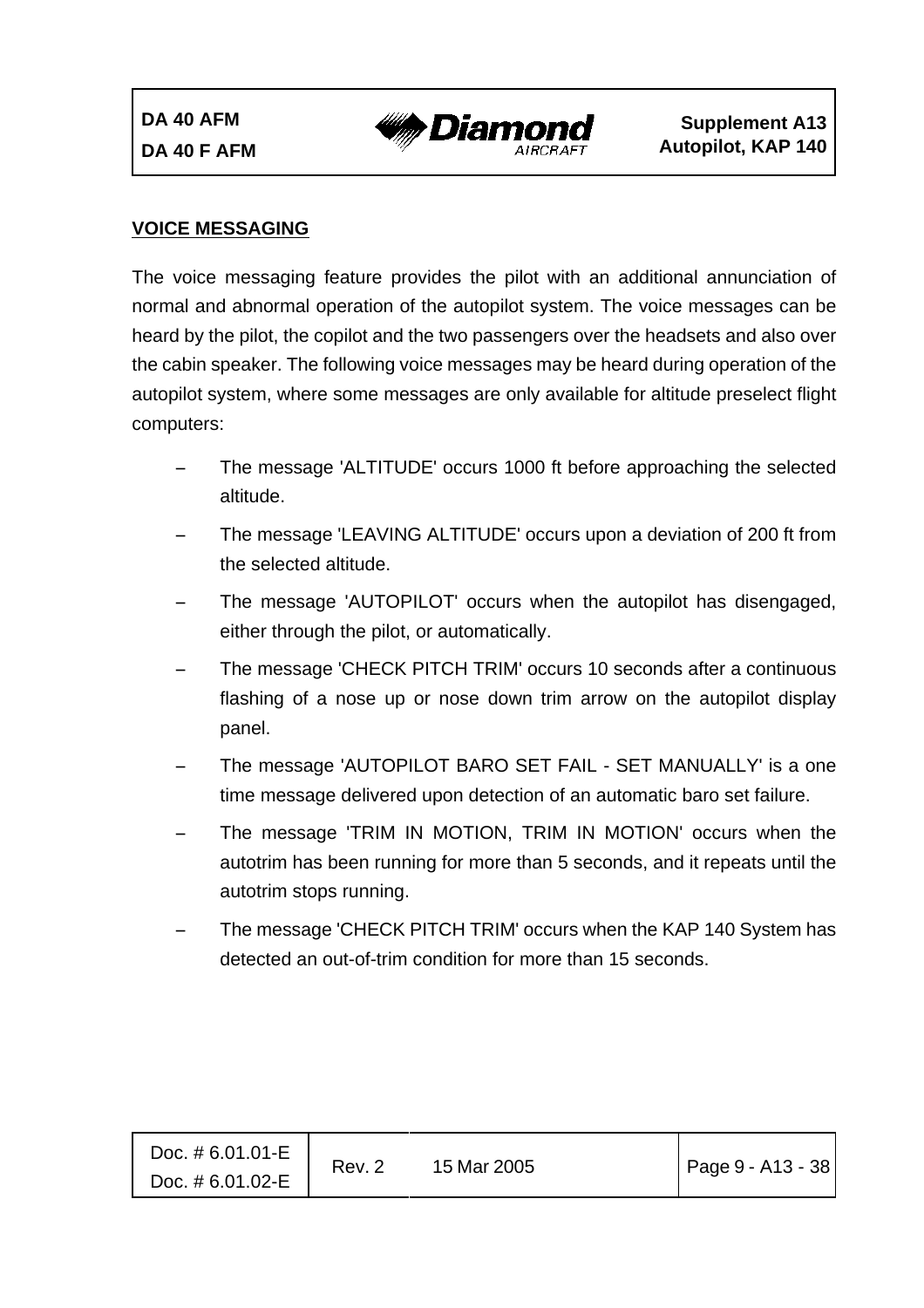

#### **VOICE MESSAGING**

The voice messaging feature provides the pilot with an additional annunciation of normal and abnormal operation of the autopilot system. The voice messages can be heard by the pilot, the copilot and the two passengers over the headsets and also over the cabin speaker. The following voice messages may be heard during operation of the autopilot system, where some messages are only available for altitude preselect flight computers:

- The message 'ALTITUDE' occurs 1000 ft before approaching the selected altitude.
- The message 'LEAVING ALTITUDE' occurs upon a deviation of 200 ft from the selected altitude.
- The message 'AUTOPILOT' occurs when the autopilot has disengaged, either through the pilot, or automatically.
- The message 'CHECK PITCH TRIM' occurs 10 seconds after a continuous flashing of a nose up or nose down trim arrow on the autopilot display panel.
- The message 'AUTOPILOT BARO SET FAIL SET MANUALLY' is a one time message delivered upon detection of an automatic baro set failure.
- The message 'TRIM IN MOTION, TRIM IN MOTION' occurs when the autotrim has been running for more than 5 seconds, and it repeats until the autotrim stops running.
- The message 'CHECK PITCH TRIM' occurs when the KAP 140 System has detected an out-of-trim condition for more than 15 seconds.

| Doc. # 6.01.01-E |        |             |                   |
|------------------|--------|-------------|-------------------|
| Doc. # 6.01.02-E | Rev. 2 | 15 Mar 2005 | Page 9 - A13 - 38 |